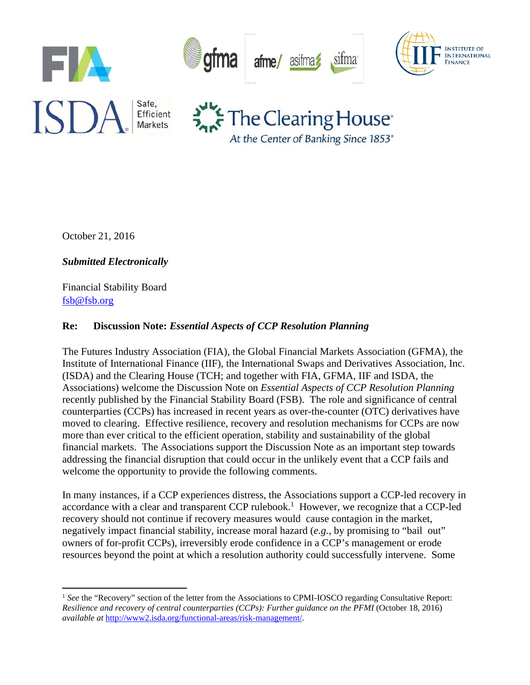

At the Center of Banking Since 1853<sup>®</sup>

October 21, 2016

*Submitted Electronically* 

Financial Stability Board fsb@fsb.org

#### **Re: Discussion Note:** *Essential Aspects of CCP Resolution Planning*

The Futures Industry Association (FIA), the Global Financial Markets Association (GFMA), the Institute of International Finance (IIF), the International Swaps and Derivatives Association, Inc. (ISDA) and the Clearing House (TCH; and together with FIA, GFMA, IIF and ISDA, the Associations) welcome the Discussion Note on *Essential Aspects of CCP Resolution Planning* recently published by the Financial Stability Board (FSB). The role and significance of central counterparties (CCPs) has increased in recent years as over-the-counter (OTC) derivatives have moved to clearing. Effective resilience, recovery and resolution mechanisms for CCPs are now more than ever critical to the efficient operation, stability and sustainability of the global financial markets. The Associations support the Discussion Note as an important step towards addressing the financial disruption that could occur in the unlikely event that a CCP fails and welcome the opportunity to provide the following comments.

In many instances, if a CCP experiences distress, the Associations support a CCP-led recovery in accordance with a clear and transparent CCP rulebook.<sup>1</sup> However, we recognize that a CCP-led recovery should not continue if recovery measures would cause contagion in the market, negatively impact financial stability, increase moral hazard (*e.g.*, by promising to "bail out" owners of for-profit CCPs), irreversibly erode confidence in a CCP's management or erode resources beyond the point at which a resolution authority could successfully intervene. Some

<sup>&</sup>lt;sup>1</sup> See the "Recovery" section of the letter from the Associations to CPMI-IOSCO regarding Consultative Report: *Resilience and recovery of central counterparties (CCPs): Further guidance on the PFMI* (October 18, 2016) *available at* http://www2.isda.org/functional-areas/risk-management/.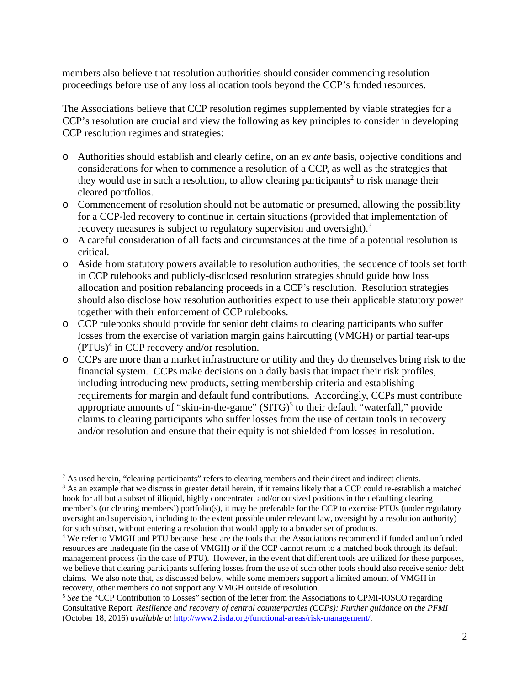members also believe that resolution authorities should consider commencing resolution proceedings before use of any loss allocation tools beyond the CCP's funded resources.

The Associations believe that CCP resolution regimes supplemented by viable strategies for a CCP's resolution are crucial and view the following as key principles to consider in developing CCP resolution regimes and strategies:

- o Authorities should establish and clearly define, on an *ex ante* basis, objective conditions and considerations for when to commence a resolution of a CCP, as well as the strategies that they would use in such a resolution, to allow clearing participants<sup>2</sup> to risk manage their cleared portfolios.
- o Commencement of resolution should not be automatic or presumed, allowing the possibility for a CCP-led recovery to continue in certain situations (provided that implementation of recovery measures is subject to regulatory supervision and oversight).<sup>3</sup>
- o A careful consideration of all facts and circumstances at the time of a potential resolution is critical.
- o Aside from statutory powers available to resolution authorities, the sequence of tools set forth in CCP rulebooks and publicly-disclosed resolution strategies should guide how loss allocation and position rebalancing proceeds in a CCP's resolution. Resolution strategies should also disclose how resolution authorities expect to use their applicable statutory power together with their enforcement of CCP rulebooks.
- o CCP rulebooks should provide for senior debt claims to clearing participants who suffer losses from the exercise of variation margin gains haircutting (VMGH) or partial tear-ups  $(PTUs)^4$  in CCP recovery and/or resolution.
- o CCPs are more than a market infrastructure or utility and they do themselves bring risk to the financial system. CCPs make decisions on a daily basis that impact their risk profiles, including introducing new products, setting membership criteria and establishing requirements for margin and default fund contributions. Accordingly, CCPs must contribute appropriate amounts of "skin-in-the-game"  $(SITG)^5$  to their default "waterfall," provide claims to clearing participants who suffer losses from the use of certain tools in recovery and/or resolution and ensure that their equity is not shielded from losses in resolution.

<sup>&</sup>lt;sup>2</sup> As used herein, "clearing participants" refers to clearing members and their direct and indirect clients.<br><sup>3</sup> As an example that we discuss in greater detail herein, if it remains likely that a CCP could re-establish

<sup>&</sup>lt;sup>3</sup> As an example that we discuss in greater detail herein, if it remains likely that a CCP could re-establish a matched book for all but a subset of illiquid, highly concentrated and/or outsized positions in the defaulting clearing member's (or clearing members') portfolio(s), it may be preferable for the CCP to exercise PTUs (under regulatory oversight and supervision, including to the extent possible under relevant law, oversight by a resolution authority) for such subset, without entering a resolution that would apply to a broader set of products.

<sup>4</sup> We refer to VMGH and PTU because these are the tools that the Associations recommend if funded and unfunded resources are inadequate (in the case of VMGH) or if the CCP cannot return to a matched book through its default management process (in the case of PTU). However, in the event that different tools are utilized for these purposes, we believe that clearing participants suffering losses from the use of such other tools should also receive senior debt claims. We also note that, as discussed below, while some members support a limited amount of VMGH in recovery, other members do not support any VMGH outside of resolution.

<sup>&</sup>lt;sup>5</sup> See the "CCP Contribution to Losses" section of the letter from the Associations to CPMI-IOSCO regarding Consultative Report: *Resilience and recovery of central counterparties (CCPs): Further guidance on the PFMI* (October 18, 2016) *available at* http://www2.isda.org/functional-areas/risk-management/.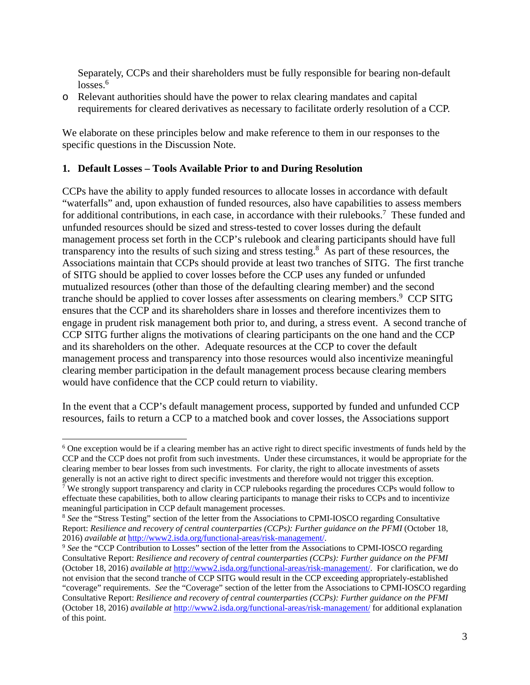Separately, CCPs and their shareholders must be fully responsible for bearing non-default  $losses<sup>6</sup>$ 

o Relevant authorities should have the power to relax clearing mandates and capital requirements for cleared derivatives as necessary to facilitate orderly resolution of a CCP.

We elaborate on these principles below and make reference to them in our responses to the specific questions in the Discussion Note.

#### **1. Default Losses – Tools Available Prior to and During Resolution**

CCPs have the ability to apply funded resources to allocate losses in accordance with default "waterfalls" and, upon exhaustion of funded resources, also have capabilities to assess members for additional contributions, in each case, in accordance with their rulebooks.<sup>7</sup> These funded and unfunded resources should be sized and stress-tested to cover losses during the default management process set forth in the CCP's rulebook and clearing participants should have full transparency into the results of such sizing and stress testing.<sup>8</sup> As part of these resources, the Associations maintain that CCPs should provide at least two tranches of SITG. The first tranche of SITG should be applied to cover losses before the CCP uses any funded or unfunded mutualized resources (other than those of the defaulting clearing member) and the second tranche should be applied to cover losses after assessments on clearing members.<sup>9</sup> CCP SITG ensures that the CCP and its shareholders share in losses and therefore incentivizes them to engage in prudent risk management both prior to, and during, a stress event. A second tranche of CCP SITG further aligns the motivations of clearing participants on the one hand and the CCP and its shareholders on the other. Adequate resources at the CCP to cover the default management process and transparency into those resources would also incentivize meaningful clearing member participation in the default management process because clearing members would have confidence that the CCP could return to viability.

In the event that a CCP's default management process, supported by funded and unfunded CCP resources, fails to return a CCP to a matched book and cover losses, the Associations support

<sup>&</sup>lt;sup>6</sup> One exception would be if a clearing member has an active right to direct specific investments of funds held by the CCP and the CCP does not profit from such investments. Under these circumstances, it would be appropriate for the clearing member to bear losses from such investments. For clarity, the right to allocate investments of assets generally is not an active right to direct specific investments and therefore would not trigger this exception. 7

 $\frac{1}{2}$  We strongly support transparency and clarity in CCP rulebooks regarding the procedures CCPs would follow to effectuate these capabilities, both to allow clearing participants to manage their risks to CCPs and to incentivize meaningful participation in CCP default management processes.

<sup>8</sup> *See* the "Stress Testing" section of the letter from the Associations to CPMI-IOSCO regarding Consultative Report: *Resilience and recovery of central counterparties (CCPs): Further guidance on the PFMI* (October 18, 2016) *available at* http://www2.isda.org/functional-areas/risk-management/.

<sup>9</sup> *See* the "CCP Contribution to Losses" section of the letter from the Associations to CPMI-IOSCO regarding Consultative Report: *Resilience and recovery of central counterparties (CCPs): Further guidance on the PFMI* (October 18, 2016) *available at* http://www2.isda.org/functional-areas/risk-management/. For clarification, we do not envision that the second tranche of CCP SITG would result in the CCP exceeding appropriately-established "coverage" requirements. *See* the "Coverage" section of the letter from the Associations to CPMI-IOSCO regarding Consultative Report: *Resilience and recovery of central counterparties (CCPs): Further guidance on the PFMI* (October 18, 2016) *available at* http://www2.isda.org/functional-areas/risk-management/ for additional explanation of this point.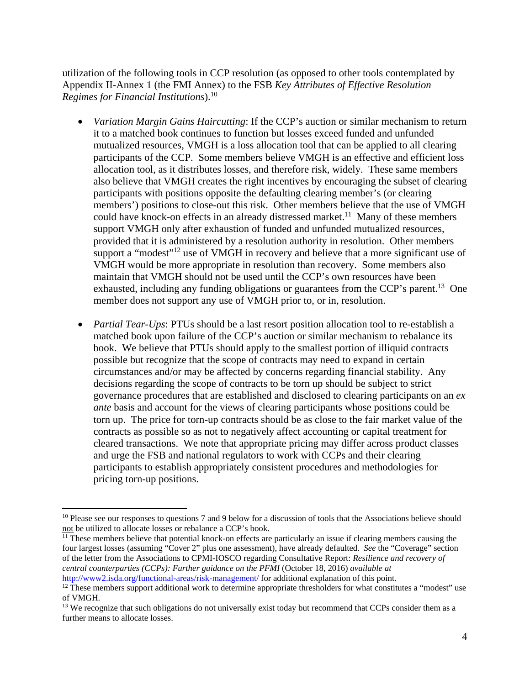utilization of the following tools in CCP resolution (as opposed to other tools contemplated by Appendix II-Annex 1 (the FMI Annex) to the FSB *Key Attributes of Effective Resolution Regimes for Financial Institutions*).10

- *Variation Margin Gains Haircutting*: If the CCP's auction or similar mechanism to return it to a matched book continues to function but losses exceed funded and unfunded mutualized resources, VMGH is a loss allocation tool that can be applied to all clearing participants of the CCP. Some members believe VMGH is an effective and efficient loss allocation tool, as it distributes losses, and therefore risk, widely. These same members also believe that VMGH creates the right incentives by encouraging the subset of clearing participants with positions opposite the defaulting clearing member's (or clearing members') positions to close-out this risk.Other members believe that the use of VMGH could have knock-on effects in an already distressed market.<sup>11</sup> Many of these members support VMGH only after exhaustion of funded and unfunded mutualized resources, provided that it is administered by a resolution authority in resolution. Other members support a "modest"<sup>12</sup> use of VMGH in recovery and believe that a more significant use of VMGH would be more appropriate in resolution than recovery. Some members also maintain that VMGH should not be used until the CCP's own resources have been exhausted, including any funding obligations or guarantees from the CCP's parent.<sup>13</sup> One member does not support any use of VMGH prior to, or in, resolution.
- *Partial Tear-Ups*: PTUs should be a last resort position allocation tool to re-establish a matched book upon failure of the CCP's auction or similar mechanism to rebalance its book. We believe that PTUs should apply to the smallest portion of illiquid contracts possible but recognize that the scope of contracts may need to expand in certain circumstances and/or may be affected by concerns regarding financial stability. Any decisions regarding the scope of contracts to be torn up should be subject to strict governance procedures that are established and disclosed to clearing participants on an *ex ante* basis and account for the views of clearing participants whose positions could be torn up. The price for torn-up contracts should be as close to the fair market value of the contracts as possible so as not to negatively affect accounting or capital treatment for cleared transactions. We note that appropriate pricing may differ across product classes and urge the FSB and national regulators to work with CCPs and their clearing participants to establish appropriately consistent procedures and methodologies for pricing torn-up positions.

<sup>&</sup>lt;sup>10</sup> Please see our responses to questions 7 and 9 below for a discussion of tools that the Associations believe should not be utilized to allocate losses or rebalance a CCP's book.

<sup>&</sup>lt;sup>11</sup> These members believe that potential knock-on effects are particularly an issue if clearing members causing the four largest losses (assuming "Cover 2" plus one assessment), have already defaulted. *See* the "Coverage" section of the letter from the Associations to CPMI-IOSCO regarding Consultative Report: *Resilience and recovery of central counterparties (CCPs): Further guidance on the PFMI* (October 18, 2016) *available at*

http://www2.isda.org/functional-areas/risk-management/ for additional explanation of this point.<br><sup>12</sup> These members support additional work to determine appropriate thresholders for what constitutes a "modest" use of VMGH.

<sup>&</sup>lt;sup>13</sup> We recognize that such obligations do not universally exist today but recommend that CCPs consider them as a further means to allocate losses.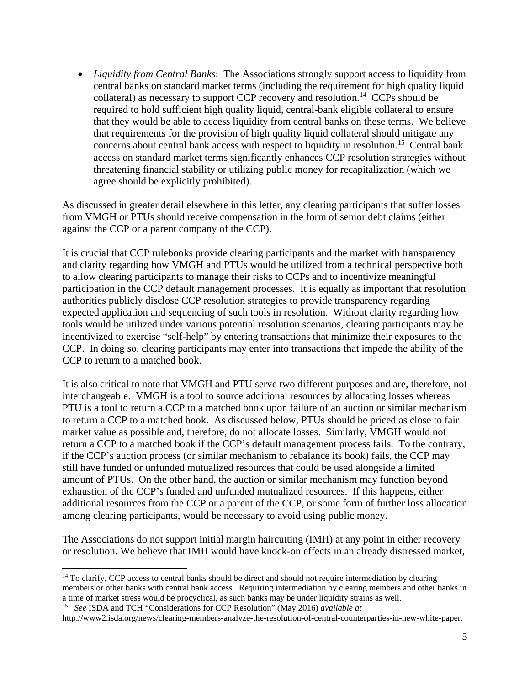*Liquidity from Central Banks*: The Associations strongly support access to liquidity from central banks on standard market terms (including the requirement for high quality liquid collateral) as necessary to support CCP recovery and resolution.<sup>14</sup> CCPs should be required to hold sufficient high quality liquid, central-bank eligible collateral to ensure that they would be able to access liquidity from central banks on these terms. We believe that requirements for the provision of high quality liquid collateral should mitigate any concerns about central bank access with respect to liquidity in resolution.<sup>15</sup> Central bank access on standard market terms significantly enhances CCP resolution strategies without threatening financial stability or utilizing public money for recapitalization (which we agree should be explicitly prohibited).

As discussed in greater detail elsewhere in this letter, any clearing participants that suffer losses from VMGH or PTUs should receive compensation in the form of senior debt claims (either against the CCP or a parent company of the CCP).

It is crucial that CCP rulebooks provide clearing participants and the market with transparency and clarity regarding how VMGH and PTUs would be utilized from a technical perspective both to allow clearing participants to manage their risks to CCPs and to incentivize meaningful participation in the CCP default management processes. It is equally as important that resolution authorities publicly disclose CCP resolution strategies to provide transparency regarding expected application and sequencing of such tools in resolution. Without clarity regarding how tools would be utilized under various potential resolution scenarios, clearing participants may be incentivized to exercise "self-help" by entering transactions that minimize their exposures to the CCP. In doing so, clearing participants may enter into transactions that impede the ability of the CCP to return to a matched book.

It is also critical to note that VMGH and PTU serve two different purposes and are, therefore, not interchangeable. VMGH is a tool to source additional resources by allocating losses whereas PTU is a tool to return a CCP to a matched book upon failure of an auction or similar mechanism to return a CCP to a matched book. As discussed below, PTUs should be priced as close to fair market value as possible and, therefore, do not allocate losses. Similarly, VMGH would not return a CCP to a matched book if the CCP's default management process fails. To the contrary, if the CCP's auction process (or similar mechanism to rebalance its book) fails, the CCP may still have funded or unfunded mutualized resources that could be used alongside a limited amount of PTUs. On the other hand, the auction or similar mechanism may function beyond exhaustion of the CCP's funded and unfunded mutualized resources. If this happens, either additional resources from the CCP or a parent of the CCP, or some form of further loss allocation among clearing participants, would be necessary to avoid using public money.

The Associations do not support initial margin haircutting (IMH) at any point in either recovery or resolution. We believe that IMH would have knock-on effects in an already distressed market,

<sup>&</sup>lt;sup>14</sup> To clarify, CCP access to central banks should be direct and should not require intermediation by clearing members or other banks with central bank access. Requiring intermediation by clearing members and other banks in a time of market stress would be procyclical, as such banks may be under liquidity strains as well.

<sup>15</sup> *See* ISDA and TCH "Considerations for CCP Resolution" (May 2016) *available at* 

http://www2.isda.org/news/clearing-members-analyze-the-resolution-of-central-counterparties-in-new-white-paper.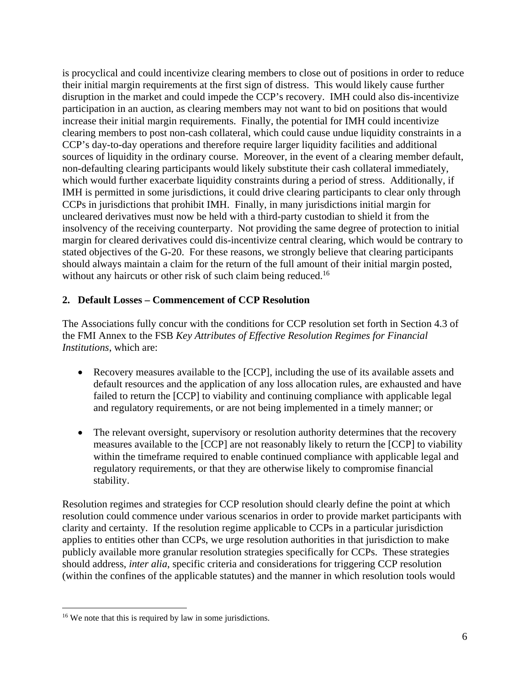is procyclical and could incentivize clearing members to close out of positions in order to reduce their initial margin requirements at the first sign of distress. This would likely cause further disruption in the market and could impede the CCP's recovery. IMH could also dis-incentivize participation in an auction, as clearing members may not want to bid on positions that would increase their initial margin requirements. Finally, the potential for IMH could incentivize clearing members to post non-cash collateral, which could cause undue liquidity constraints in a CCP's day-to-day operations and therefore require larger liquidity facilities and additional sources of liquidity in the ordinary course. Moreover, in the event of a clearing member default, non-defaulting clearing participants would likely substitute their cash collateral immediately, which would further exacerbate liquidity constraints during a period of stress. Additionally, if IMH is permitted in some jurisdictions, it could drive clearing participants to clear only through CCPs in jurisdictions that prohibit IMH. Finally, in many jurisdictions initial margin for uncleared derivatives must now be held with a third-party custodian to shield it from the insolvency of the receiving counterparty. Not providing the same degree of protection to initial margin for cleared derivatives could dis-incentivize central clearing, which would be contrary to stated objectives of the G-20. For these reasons, we strongly believe that clearing participants should always maintain a claim for the return of the full amount of their initial margin posted, without any haircuts or other risk of such claim being reduced.<sup>16</sup>

#### **2. Default Losses – Commencement of CCP Resolution**

The Associations fully concur with the conditions for CCP resolution set forth in Section 4.3 of the FMI Annex to the FSB *Key Attributes of Effective Resolution Regimes for Financial Institutions*, which are:

- Recovery measures available to the [CCP], including the use of its available assets and default resources and the application of any loss allocation rules, are exhausted and have failed to return the [CCP] to viability and continuing compliance with applicable legal and regulatory requirements, or are not being implemented in a timely manner; or
- The relevant oversight, supervisory or resolution authority determines that the recovery measures available to the [CCP] are not reasonably likely to return the [CCP] to viability within the timeframe required to enable continued compliance with applicable legal and regulatory requirements, or that they are otherwise likely to compromise financial stability.

Resolution regimes and strategies for CCP resolution should clearly define the point at which resolution could commence under various scenarios in order to provide market participants with clarity and certainty. If the resolution regime applicable to CCPs in a particular jurisdiction applies to entities other than CCPs, we urge resolution authorities in that jurisdiction to make publicly available more granular resolution strategies specifically for CCPs. These strategies should address, *inter alia*, specific criteria and considerations for triggering CCP resolution (within the confines of the applicable statutes) and the manner in which resolution tools would

 <sup>16</sup> We note that this is required by law in some jurisdictions.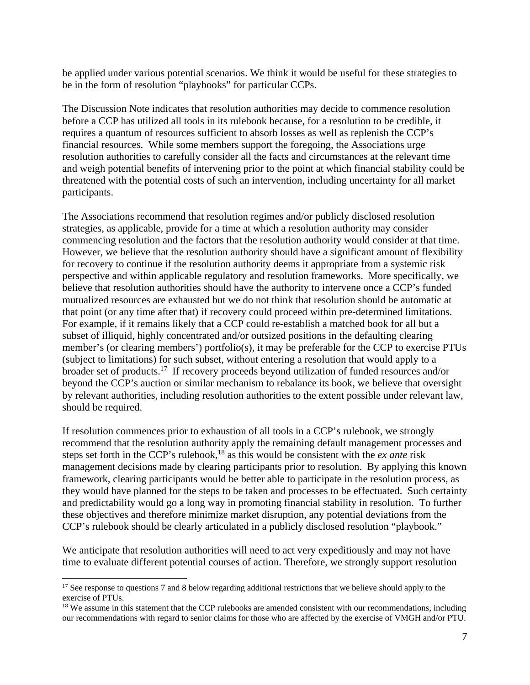be applied under various potential scenarios. We think it would be useful for these strategies to be in the form of resolution "playbooks" for particular CCPs.

The Discussion Note indicates that resolution authorities may decide to commence resolution before a CCP has utilized all tools in its rulebook because, for a resolution to be credible, it requires a quantum of resources sufficient to absorb losses as well as replenish the CCP's financial resources. While some members support the foregoing, the Associations urge resolution authorities to carefully consider all the facts and circumstances at the relevant time and weigh potential benefits of intervening prior to the point at which financial stability could be threatened with the potential costs of such an intervention, including uncertainty for all market participants.

The Associations recommend that resolution regimes and/or publicly disclosed resolution strategies, as applicable, provide for a time at which a resolution authority may consider commencing resolution and the factors that the resolution authority would consider at that time. However, we believe that the resolution authority should have a significant amount of flexibility for recovery to continue if the resolution authority deems it appropriate from a systemic risk perspective and within applicable regulatory and resolution frameworks. More specifically, we believe that resolution authorities should have the authority to intervene once a CCP's funded mutualized resources are exhausted but we do not think that resolution should be automatic at that point (or any time after that) if recovery could proceed within pre-determined limitations. For example, if it remains likely that a CCP could re-establish a matched book for all but a subset of illiquid, highly concentrated and/or outsized positions in the defaulting clearing member's (or clearing members') portfolio(s), it may be preferable for the CCP to exercise PTUs (subject to limitations) for such subset, without entering a resolution that would apply to a broader set of products.17 If recovery proceeds beyond utilization of funded resources and/or beyond the CCP's auction or similar mechanism to rebalance its book, we believe that oversight by relevant authorities, including resolution authorities to the extent possible under relevant law, should be required.

If resolution commences prior to exhaustion of all tools in a CCP's rulebook, we strongly recommend that the resolution authority apply the remaining default management processes and steps set forth in the CCP's rulebook,18 as this would be consistent with the *ex ante* risk management decisions made by clearing participants prior to resolution. By applying this known framework, clearing participants would be better able to participate in the resolution process, as they would have planned for the steps to be taken and processes to be effectuated. Such certainty and predictability would go a long way in promoting financial stability in resolution. To further these objectives and therefore minimize market disruption, any potential deviations from the CCP's rulebook should be clearly articulated in a publicly disclosed resolution "playbook."

We anticipate that resolution authorities will need to act very expeditiously and may not have time to evaluate different potential courses of action. Therefore, we strongly support resolution

<sup>&</sup>lt;sup>17</sup> See response to questions 7 and 8 below regarding additional restrictions that we believe should apply to the exercise of PTUs.

<sup>&</sup>lt;sup>18</sup> We assume in this statement that the CCP rulebooks are amended consistent with our recommendations, including our recommendations with regard to senior claims for those who are affected by the exercise of VMGH and/or PTU.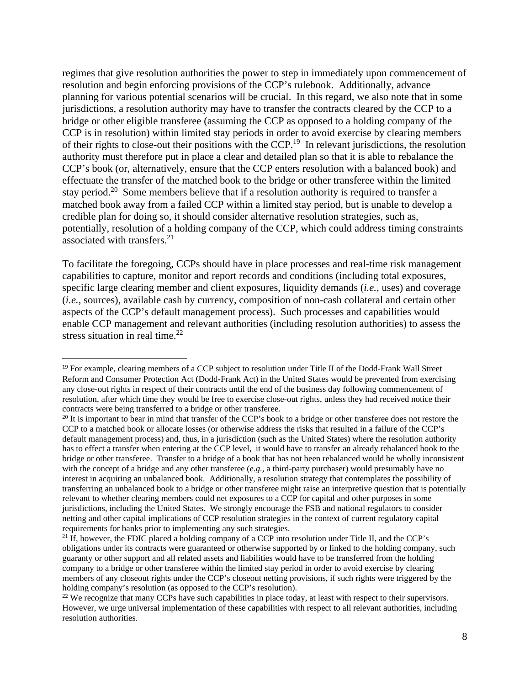regimes that give resolution authorities the power to step in immediately upon commencement of resolution and begin enforcing provisions of the CCP's rulebook. Additionally, advance planning for various potential scenarios will be crucial. In this regard, we also note that in some jurisdictions, a resolution authority may have to transfer the contracts cleared by the CCP to a bridge or other eligible transferee (assuming the CCP as opposed to a holding company of the CCP is in resolution) within limited stay periods in order to avoid exercise by clearing members of their rights to close-out their positions with the CCP.19 In relevant jurisdictions, the resolution authority must therefore put in place a clear and detailed plan so that it is able to rebalance the CCP's book (or, alternatively, ensure that the CCP enters resolution with a balanced book) and effectuate the transfer of the matched book to the bridge or other transferee within the limited stay period.<sup>20</sup> Some members believe that if a resolution authority is required to transfer a matched book away from a failed CCP within a limited stay period, but is unable to develop a credible plan for doing so, it should consider alternative resolution strategies, such as, potentially, resolution of a holding company of the CCP, which could address timing constraints associated with transfers. $21$ 

To facilitate the foregoing, CCPs should have in place processes and real-time risk management capabilities to capture, monitor and report records and conditions (including total exposures, specific large clearing member and client exposures, liquidity demands (*i.e.,* uses) and coverage (*i.e.,* sources), available cash by currency, composition of non-cash collateral and certain other aspects of the CCP's default management process). Such processes and capabilities would enable CCP management and relevant authorities (including resolution authorities) to assess the stress situation in real time. $22$ 

<sup>19</sup> For example, clearing members of a CCP subject to resolution under Title II of the Dodd-Frank Wall Street Reform and Consumer Protection Act (Dodd-Frank Act) in the United States would be prevented from exercising any close-out rights in respect of their contracts until the end of the business day following commencement of resolution, after which time they would be free to exercise close-out rights, unless they had received notice their contracts were being transferred to a bridge or other transferee.

 $20$  It is important to bear in mind that transfer of the CCP's book to a bridge or other transferee does not restore the CCP to a matched book or allocate losses (or otherwise address the risks that resulted in a failure of the CCP's default management process) and, thus, in a jurisdiction (such as the United States) where the resolution authority has to effect a transfer when entering at the CCP level, it would have to transfer an already rebalanced book to the bridge or other transferee. Transfer to a bridge of a book that has not been rebalanced would be wholly inconsistent with the concept of a bridge and any other transferee (*e.g.*, a third-party purchaser) would presumably have no interest in acquiring an unbalanced book. Additionally, a resolution strategy that contemplates the possibility of transferring an unbalanced book to a bridge or other transferee might raise an interpretive question that is potentially relevant to whether clearing members could net exposures to a CCP for capital and other purposes in some jurisdictions, including the United States. We strongly encourage the FSB and national regulators to consider netting and other capital implications of CCP resolution strategies in the context of current regulatory capital requirements for banks prior to implementing any such strategies.

<sup>&</sup>lt;sup>21</sup> If, however, the FDIC placed a holding company of a CCP into resolution under Title II, and the CCP's obligations under its contracts were guaranteed or otherwise supported by or linked to the holding company, such guaranty or other support and all related assets and liabilities would have to be transferred from the holding company to a bridge or other transferee within the limited stay period in order to avoid exercise by clearing members of any closeout rights under the CCP's closeout netting provisions, if such rights were triggered by the holding company's resolution (as opposed to the CCP's resolution).

<sup>&</sup>lt;sup>22</sup> We recognize that many CCPs have such capabilities in place today, at least with respect to their supervisors. However, we urge universal implementation of these capabilities with respect to all relevant authorities, including resolution authorities.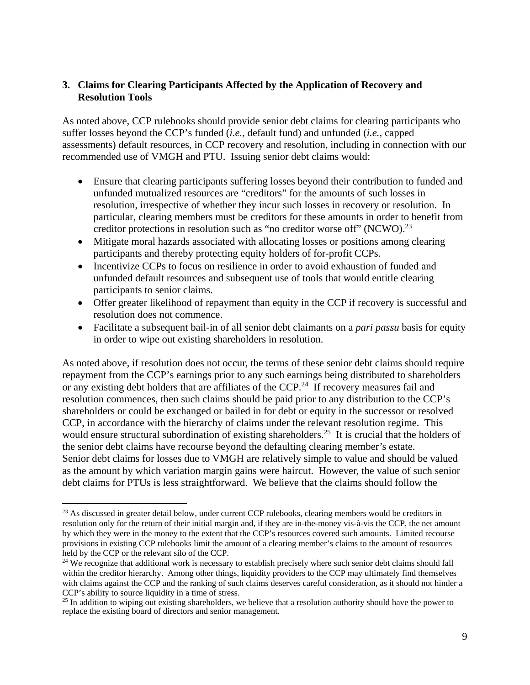#### **3. Claims for Clearing Participants Affected by the Application of Recovery and Resolution Tools**

As noted above, CCP rulebooks should provide senior debt claims for clearing participants who suffer losses beyond the CCP's funded (*i.e.,* default fund) and unfunded (*i.e.,* capped assessments) default resources, in CCP recovery and resolution, including in connection with our recommended use of VMGH and PTU. Issuing senior debt claims would:

- Ensure that clearing participants suffering losses beyond their contribution to funded and unfunded mutualized resources are "creditors" for the amounts of such losses in resolution, irrespective of whether they incur such losses in recovery or resolution. In particular, clearing members must be creditors for these amounts in order to benefit from creditor protections in resolution such as "no creditor worse off" (NCWO).<sup>23</sup>
- Mitigate moral hazards associated with allocating losses or positions among clearing participants and thereby protecting equity holders of for-profit CCPs.
- Incentivize CCPs to focus on resilience in order to avoid exhaustion of funded and unfunded default resources and subsequent use of tools that would entitle clearing participants to senior claims.
- Offer greater likelihood of repayment than equity in the CCP if recovery is successful and resolution does not commence.
- Facilitate a subsequent bail-in of all senior debt claimants on a *pari passu* basis for equity in order to wipe out existing shareholders in resolution.

As noted above, if resolution does not occur, the terms of these senior debt claims should require repayment from the CCP's earnings prior to any such earnings being distributed to shareholders or any existing debt holders that are affiliates of the  $CCP<sup>24</sup>$ . If recovery measures fail and resolution commences, then such claims should be paid prior to any distribution to the CCP's shareholders or could be exchanged or bailed in for debt or equity in the successor or resolved CCP, in accordance with the hierarchy of claims under the relevant resolution regime. This would ensure structural subordination of existing shareholders.<sup>25</sup> It is crucial that the holders of the senior debt claims have recourse beyond the defaulting clearing member's estate. Senior debt claims for losses due to VMGH are relatively simple to value and should be valued as the amount by which variation margin gains were haircut. However, the value of such senior debt claims for PTUs is less straightforward. We believe that the claims should follow the

<sup>&</sup>lt;sup>23</sup> As discussed in greater detail below, under current CCP rulebooks, clearing members would be creditors in resolution only for the return of their initial margin and, if they are in-the-money vis-à-vis the CCP, the net amount by which they were in the money to the extent that the CCP's resources covered such amounts. Limited recourse provisions in existing CCP rulebooks limit the amount of a clearing member's claims to the amount of resources held by the CCP or the relevant silo of the CCP.

<sup>&</sup>lt;sup>24</sup> We recognize that additional work is necessary to establish precisely where such senior debt claims should fall within the creditor hierarchy. Among other things, liquidity providers to the CCP may ultimately find themselves with claims against the CCP and the ranking of such claims deserves careful consideration, as it should not hinder a CCP's ability to source liquidity in a time of stress.

<sup>&</sup>lt;sup>25</sup> In addition to wiping out existing shareholders, we believe that a resolution authority should have the power to replace the existing board of directors and senior management.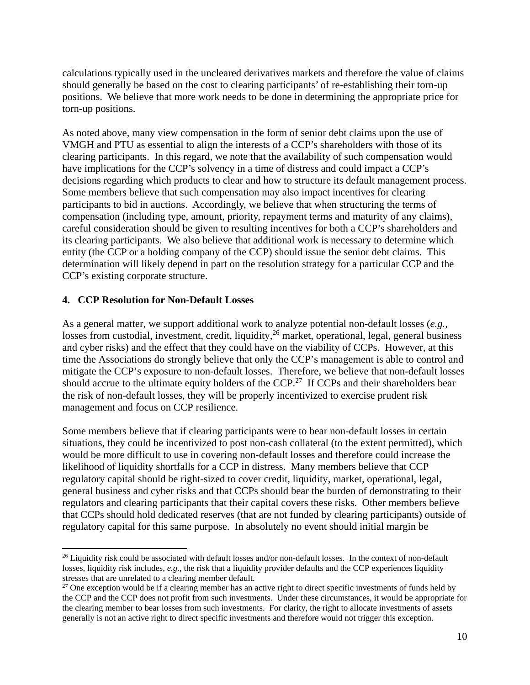calculations typically used in the uncleared derivatives markets and therefore the value of claims should generally be based on the cost to clearing participants' of re-establishing their torn-up positions. We believe that more work needs to be done in determining the appropriate price for torn-up positions.

As noted above, many view compensation in the form of senior debt claims upon the use of VMGH and PTU as essential to align the interests of a CCP's shareholders with those of its clearing participants. In this regard, we note that the availability of such compensation would have implications for the CCP's solvency in a time of distress and could impact a CCP's decisions regarding which products to clear and how to structure its default management process. Some members believe that such compensation may also impact incentives for clearing participants to bid in auctions. Accordingly, we believe that when structuring the terms of compensation (including type, amount, priority, repayment terms and maturity of any claims), careful consideration should be given to resulting incentives for both a CCP's shareholders and its clearing participants. We also believe that additional work is necessary to determine which entity (the CCP or a holding company of the CCP) should issue the senior debt claims. This determination will likely depend in part on the resolution strategy for a particular CCP and the CCP's existing corporate structure.

#### **4. CCP Resolution for Non-Default Losses**

As a general matter, we support additional work to analyze potential non-default losses (*e.g.,*  losses from custodial, investment, credit, liquidity,  $^{26}$  market, operational, legal, general business and cyber risks) and the effect that they could have on the viability of CCPs. However, at this time the Associations do strongly believe that only the CCP's management is able to control and mitigate the CCP's exposure to non-default losses. Therefore, we believe that non-default losses should accrue to the ultimate equity holders of the CCP.<sup>27</sup> If CCPs and their shareholders bear the risk of non-default losses, they will be properly incentivized to exercise prudent risk management and focus on CCP resilience.

Some members believe that if clearing participants were to bear non-default losses in certain situations, they could be incentivized to post non-cash collateral (to the extent permitted), which would be more difficult to use in covering non-default losses and therefore could increase the likelihood of liquidity shortfalls for a CCP in distress. Many members believe that CCP regulatory capital should be right-sized to cover credit, liquidity, market, operational, legal, general business and cyber risks and that CCPs should bear the burden of demonstrating to their regulators and clearing participants that their capital covers these risks. Other members believe that CCPs should hold dedicated reserves (that are not funded by clearing participants) outside of regulatory capital for this same purpose. In absolutely no event should initial margin be

 $26$  Liquidity risk could be associated with default losses and/or non-default losses. In the context of non-default losses, liquidity risk includes, *e.g.,* the risk that a liquidity provider defaults and the CCP experiences liquidity stresses that are unrelated to a clearing member default.

 $27$  One exception would be if a clearing member has an active right to direct specific investments of funds held by the CCP and the CCP does not profit from such investments. Under these circumstances, it would be appropriate for the clearing member to bear losses from such investments. For clarity, the right to allocate investments of assets generally is not an active right to direct specific investments and therefore would not trigger this exception.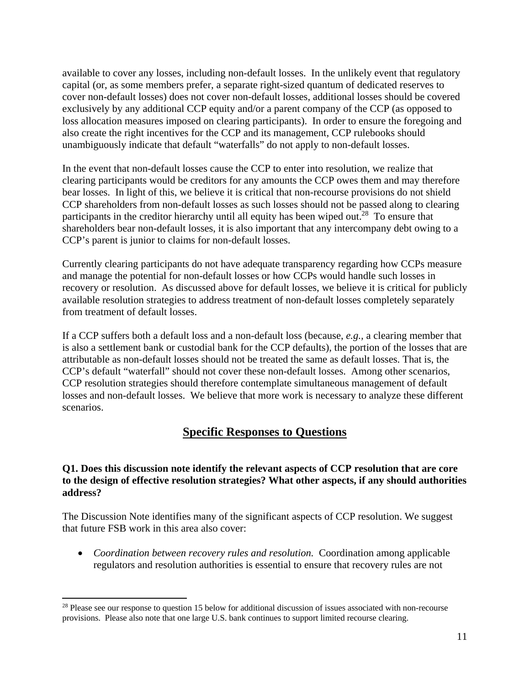available to cover any losses, including non-default losses. In the unlikely event that regulatory capital (or, as some members prefer, a separate right-sized quantum of dedicated reserves to cover non-default losses) does not cover non-default losses, additional losses should be covered exclusively by any additional CCP equity and/or a parent company of the CCP (as opposed to loss allocation measures imposed on clearing participants). In order to ensure the foregoing and also create the right incentives for the CCP and its management, CCP rulebooks should unambiguously indicate that default "waterfalls" do not apply to non-default losses.

In the event that non-default losses cause the CCP to enter into resolution, we realize that clearing participants would be creditors for any amounts the CCP owes them and may therefore bear losses. In light of this, we believe it is critical that non-recourse provisions do not shield CCP shareholders from non-default losses as such losses should not be passed along to clearing participants in the creditor hierarchy until all equity has been wiped out.<sup>28</sup> To ensure that shareholders bear non-default losses, it is also important that any intercompany debt owing to a CCP's parent is junior to claims for non-default losses.

Currently clearing participants do not have adequate transparency regarding how CCPs measure and manage the potential for non-default losses or how CCPs would handle such losses in recovery or resolution. As discussed above for default losses, we believe it is critical for publicly available resolution strategies to address treatment of non-default losses completely separately from treatment of default losses.

If a CCP suffers both a default loss and a non-default loss (because, *e.g.,* a clearing member that is also a settlement bank or custodial bank for the CCP defaults), the portion of the losses that are attributable as non-default losses should not be treated the same as default losses. That is, the CCP's default "waterfall" should not cover these non-default losses. Among other scenarios, CCP resolution strategies should therefore contemplate simultaneous management of default losses and non-default losses. We believe that more work is necessary to analyze these different scenarios.

### **Specific Responses to Questions**

#### **Q1. Does this discussion note identify the relevant aspects of CCP resolution that are core to the design of effective resolution strategies? What other aspects, if any should authorities address?**

The Discussion Note identifies many of the significant aspects of CCP resolution. We suggest that future FSB work in this area also cover:

 *Coordination between recovery rules and resolution.* Coordination among applicable regulators and resolution authorities is essential to ensure that recovery rules are not

<sup>&</sup>lt;sup>28</sup> Please see our response to question 15 below for additional discussion of issues associated with non-recourse provisions. Please also note that one large U.S. bank continues to support limited recourse clearing.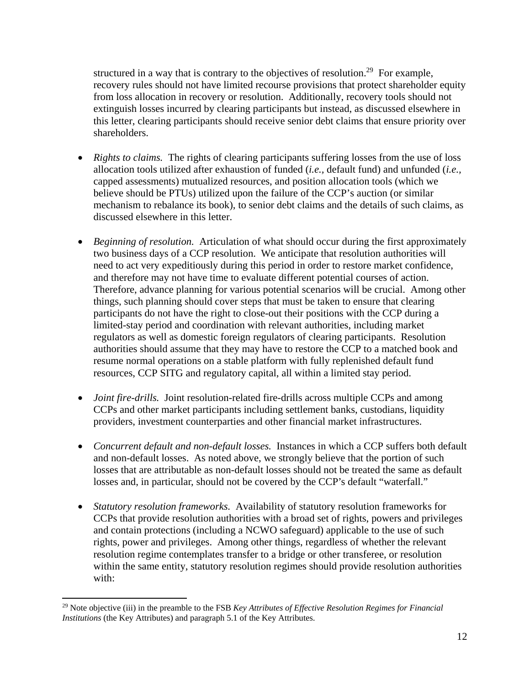structured in a way that is contrary to the objectives of resolution.<sup>29</sup> For example, recovery rules should not have limited recourse provisions that protect shareholder equity from loss allocation in recovery or resolution. Additionally, recovery tools should not extinguish losses incurred by clearing participants but instead, as discussed elsewhere in this letter, clearing participants should receive senior debt claims that ensure priority over shareholders.

- *Rights to claims.* The rights of clearing participants suffering losses from the use of loss allocation tools utilized after exhaustion of funded (*i.e.,* default fund) and unfunded (*i.e.,*  capped assessments) mutualized resources, and position allocation tools (which we believe should be PTUs) utilized upon the failure of the CCP's auction (or similar mechanism to rebalance its book), to senior debt claims and the details of such claims, as discussed elsewhere in this letter.
- *Beginning of resolution.* Articulation of what should occur during the first approximately two business days of a CCP resolution. We anticipate that resolution authorities will need to act very expeditiously during this period in order to restore market confidence, and therefore may not have time to evaluate different potential courses of action. Therefore, advance planning for various potential scenarios will be crucial. Among other things, such planning should cover steps that must be taken to ensure that clearing participants do not have the right to close-out their positions with the CCP during a limited-stay period and coordination with relevant authorities, including market regulators as well as domestic foreign regulators of clearing participants. Resolution authorities should assume that they may have to restore the CCP to a matched book and resume normal operations on a stable platform with fully replenished default fund resources, CCP SITG and regulatory capital, all within a limited stay period.
- *Joint fire-drills.* Joint resolution-related fire-drills across multiple CCPs and among CCPs and other market participants including settlement banks, custodians, liquidity providers, investment counterparties and other financial market infrastructures.
- *Concurrent default and non-default losses.* Instances in which a CCP suffers both default and non-default losses. As noted above, we strongly believe that the portion of such losses that are attributable as non-default losses should not be treated the same as default losses and, in particular, should not be covered by the CCP's default "waterfall."
- *Statutory resolution frameworks.* Availability of statutory resolution frameworks for CCPs that provide resolution authorities with a broad set of rights, powers and privileges and contain protections (including a NCWO safeguard) applicable to the use of such rights, power and privileges. Among other things, regardless of whether the relevant resolution regime contemplates transfer to a bridge or other transferee, or resolution within the same entity, statutory resolution regimes should provide resolution authorities with:

<sup>29</sup> Note objective (iii) in the preamble to the FSB *Key Attributes of Effective Resolution Regimes for Financial Institutions* (the Key Attributes) and paragraph 5.1 of the Key Attributes.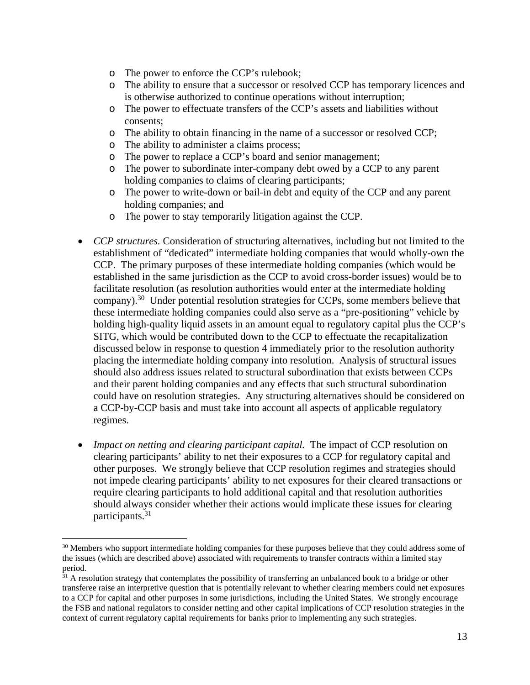- o The power to enforce the CCP's rulebook;
- o The ability to ensure that a successor or resolved CCP has temporary licences and is otherwise authorized to continue operations without interruption;
- o The power to effectuate transfers of the CCP's assets and liabilities without consents;
- o The ability to obtain financing in the name of a successor or resolved CCP;
- o The ability to administer a claims process;
- o The power to replace a CCP's board and senior management;
- o The power to subordinate inter-company debt owed by a CCP to any parent holding companies to claims of clearing participants;
- o The power to write-down or bail-in debt and equity of the CCP and any parent holding companies; and
- o The power to stay temporarily litigation against the CCP.
- *CCP structures.* Consideration of structuring alternatives, including but not limited to the establishment of "dedicated" intermediate holding companies that would wholly-own the CCP. The primary purposes of these intermediate holding companies (which would be established in the same jurisdiction as the CCP to avoid cross-border issues) would be to facilitate resolution (as resolution authorities would enter at the intermediate holding company).<sup>30</sup> Under potential resolution strategies for CCPs, some members believe that these intermediate holding companies could also serve as a "pre-positioning" vehicle by holding high-quality liquid assets in an amount equal to regulatory capital plus the CCP's SITG, which would be contributed down to the CCP to effectuate the recapitalization discussed below in response to question 4 immediately prior to the resolution authority placing the intermediate holding company into resolution. Analysis of structural issues should also address issues related to structural subordination that exists between CCPs and their parent holding companies and any effects that such structural subordination could have on resolution strategies. Any structuring alternatives should be considered on a CCP-by-CCP basis and must take into account all aspects of applicable regulatory regimes.
- *Impact on netting and clearing participant capital.* The impact of CCP resolution on clearing participants' ability to net their exposures to a CCP for regulatory capital and other purposes. We strongly believe that CCP resolution regimes and strategies should not impede clearing participants' ability to net exposures for their cleared transactions or require clearing participants to hold additional capital and that resolution authorities should always consider whether their actions would implicate these issues for clearing participants.<sup>31</sup>

<sup>&</sup>lt;sup>30</sup> Members who support intermediate holding companies for these purposes believe that they could address some of the issues (which are described above) associated with requirements to transfer contracts within a limited stay period.

<sup>&</sup>lt;sup>31</sup> A resolution strategy that contemplates the possibility of transferring an unbalanced book to a bridge or other transferee raise an interpretive question that is potentially relevant to whether clearing members could net exposures to a CCP for capital and other purposes in some jurisdictions, including the United States. We strongly encourage the FSB and national regulators to consider netting and other capital implications of CCP resolution strategies in the context of current regulatory capital requirements for banks prior to implementing any such strategies.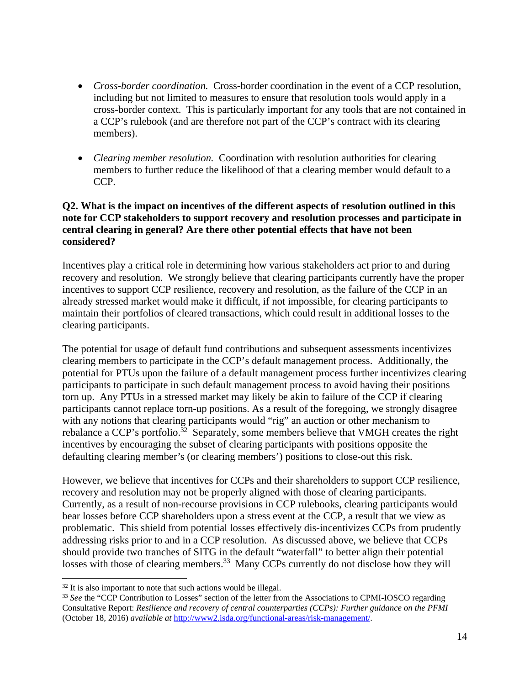- *Cross-border coordination.* Cross-border coordination in the event of a CCP resolution, including but not limited to measures to ensure that resolution tools would apply in a cross-border context. This is particularly important for any tools that are not contained in a CCP's rulebook (and are therefore not part of the CCP's contract with its clearing members).
- *Clearing member resolution.* Coordination with resolution authorities for clearing members to further reduce the likelihood of that a clearing member would default to a CCP.

#### **Q2. What is the impact on incentives of the different aspects of resolution outlined in this note for CCP stakeholders to support recovery and resolution processes and participate in central clearing in general? Are there other potential effects that have not been considered?**

Incentives play a critical role in determining how various stakeholders act prior to and during recovery and resolution. We strongly believe that clearing participants currently have the proper incentives to support CCP resilience, recovery and resolution, as the failure of the CCP in an already stressed market would make it difficult, if not impossible, for clearing participants to maintain their portfolios of cleared transactions, which could result in additional losses to the clearing participants.

The potential for usage of default fund contributions and subsequent assessments incentivizes clearing members to participate in the CCP's default management process. Additionally, the potential for PTUs upon the failure of a default management process further incentivizes clearing participants to participate in such default management process to avoid having their positions torn up. Any PTUs in a stressed market may likely be akin to failure of the CCP if clearing participants cannot replace torn-up positions. As a result of the foregoing, we strongly disagree with any notions that clearing participants would "rig" an auction or other mechanism to rebalance a CCP's portfolio.<sup>32</sup> Separately, some members believe that VMGH creates the right incentives by encouraging the subset of clearing participants with positions opposite the defaulting clearing member's (or clearing members') positions to close-out this risk.

However, we believe that incentives for CCPs and their shareholders to support CCP resilience, recovery and resolution may not be properly aligned with those of clearing participants. Currently, as a result of non-recourse provisions in CCP rulebooks, clearing participants would bear losses before CCP shareholders upon a stress event at the CCP, a result that we view as problematic. This shield from potential losses effectively dis-incentivizes CCPs from prudently addressing risks prior to and in a CCP resolution. As discussed above, we believe that CCPs should provide two tranches of SITG in the default "waterfall" to better align their potential losses with those of clearing members.<sup>33</sup> Many CCPs currently do not disclose how they will

 $32$  It is also important to note that such actions would be illegal.

<sup>&</sup>lt;sup>33</sup> See the "CCP Contribution to Losses" section of the letter from the Associations to CPMI-IOSCO regarding Consultative Report: *Resilience and recovery of central counterparties (CCPs): Further guidance on the PFMI* (October 18, 2016) *available at* http://www2.isda.org/functional-areas/risk-management/.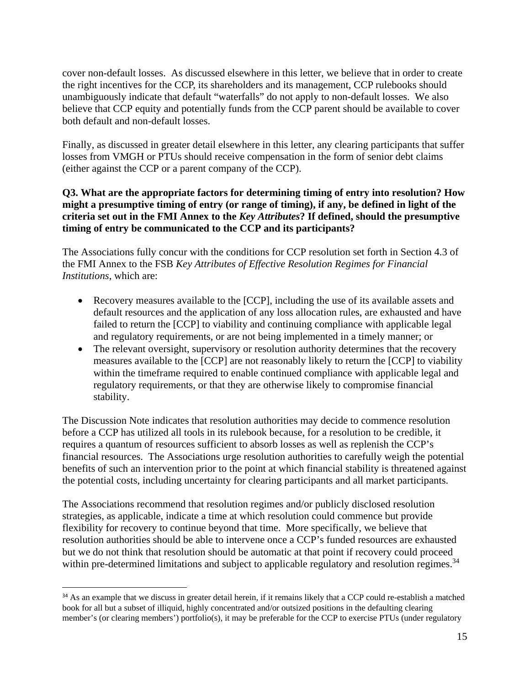cover non-default losses. As discussed elsewhere in this letter, we believe that in order to create the right incentives for the CCP, its shareholders and its management, CCP rulebooks should unambiguously indicate that default "waterfalls" do not apply to non-default losses. We also believe that CCP equity and potentially funds from the CCP parent should be available to cover both default and non-default losses.

Finally, as discussed in greater detail elsewhere in this letter, any clearing participants that suffer losses from VMGH or PTUs should receive compensation in the form of senior debt claims (either against the CCP or a parent company of the CCP).

#### **Q3. What are the appropriate factors for determining timing of entry into resolution? How might a presumptive timing of entry (or range of timing), if any, be defined in light of the criteria set out in the FMI Annex to the** *Key Attributes***? If defined, should the presumptive timing of entry be communicated to the CCP and its participants?**

The Associations fully concur with the conditions for CCP resolution set forth in Section 4.3 of the FMI Annex to the FSB *Key Attributes of Effective Resolution Regimes for Financial Institutions*, which are:

- Recovery measures available to the [CCP], including the use of its available assets and default resources and the application of any loss allocation rules, are exhausted and have failed to return the [CCP] to viability and continuing compliance with applicable legal and regulatory requirements, or are not being implemented in a timely manner; or
- The relevant oversight, supervisory or resolution authority determines that the recovery measures available to the [CCP] are not reasonably likely to return the [CCP] to viability within the timeframe required to enable continued compliance with applicable legal and regulatory requirements, or that they are otherwise likely to compromise financial stability.

The Discussion Note indicates that resolution authorities may decide to commence resolution before a CCP has utilized all tools in its rulebook because, for a resolution to be credible, it requires a quantum of resources sufficient to absorb losses as well as replenish the CCP's financial resources. The Associations urge resolution authorities to carefully weigh the potential benefits of such an intervention prior to the point at which financial stability is threatened against the potential costs, including uncertainty for clearing participants and all market participants.

The Associations recommend that resolution regimes and/or publicly disclosed resolution strategies, as applicable, indicate a time at which resolution could commence but provide flexibility for recovery to continue beyond that time. More specifically, we believe that resolution authorities should be able to intervene once a CCP's funded resources are exhausted but we do not think that resolution should be automatic at that point if recovery could proceed within pre-determined limitations and subject to applicable regulatory and resolution regimes.<sup>34</sup>

<sup>&</sup>lt;sup>34</sup> As an example that we discuss in greater detail herein, if it remains likely that a CCP could re-establish a matched book for all but a subset of illiquid, highly concentrated and/or outsized positions in the defaulting clearing member's (or clearing members') portfolio(s), it may be preferable for the CCP to exercise PTUs (under regulatory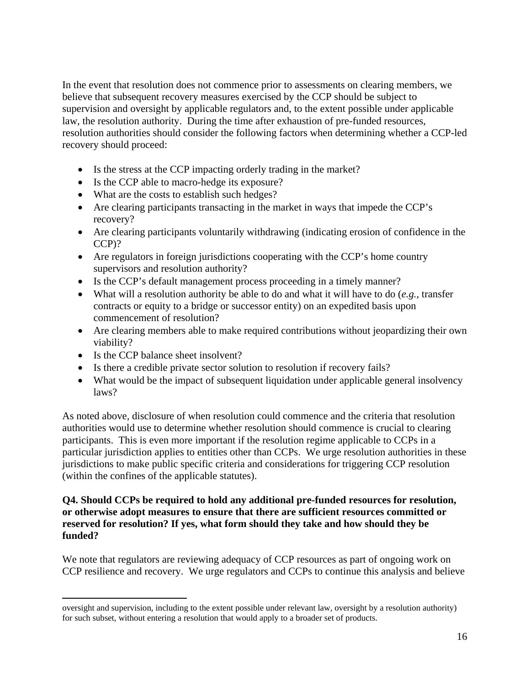In the event that resolution does not commence prior to assessments on clearing members, we believe that subsequent recovery measures exercised by the CCP should be subject to supervision and oversight by applicable regulators and, to the extent possible under applicable law, the resolution authority. During the time after exhaustion of pre-funded resources, resolution authorities should consider the following factors when determining whether a CCP-led recovery should proceed:

- Is the stress at the CCP impacting orderly trading in the market?
- Is the CCP able to macro-hedge its exposure?
- What are the costs to establish such hedges?
- Are clearing participants transacting in the market in ways that impede the CCP's recovery?
- Are clearing participants voluntarily withdrawing (indicating erosion of confidence in the CCP)?
- Are regulators in foreign jurisdictions cooperating with the CCP's home country supervisors and resolution authority?
- Is the CCP's default management process proceeding in a timely manner?
- What will a resolution authority be able to do and what it will have to do (*e.g.,* transfer contracts or equity to a bridge or successor entity) on an expedited basis upon commencement of resolution?
- Are clearing members able to make required contributions without jeopardizing their own viability?
- Is the CCP balance sheet insolvent?

- Is there a credible private sector solution to resolution if recovery fails?
- What would be the impact of subsequent liquidation under applicable general insolvency laws?

As noted above, disclosure of when resolution could commence and the criteria that resolution authorities would use to determine whether resolution should commence is crucial to clearing participants. This is even more important if the resolution regime applicable to CCPs in a particular jurisdiction applies to entities other than CCPs. We urge resolution authorities in these jurisdictions to make public specific criteria and considerations for triggering CCP resolution (within the confines of the applicable statutes).

#### **Q4. Should CCPs be required to hold any additional pre-funded resources for resolution, or otherwise adopt measures to ensure that there are sufficient resources committed or reserved for resolution? If yes, what form should they take and how should they be funded?**

We note that regulators are reviewing adequacy of CCP resources as part of ongoing work on CCP resilience and recovery. We urge regulators and CCPs to continue this analysis and believe

oversight and supervision, including to the extent possible under relevant law, oversight by a resolution authority) for such subset, without entering a resolution that would apply to a broader set of products.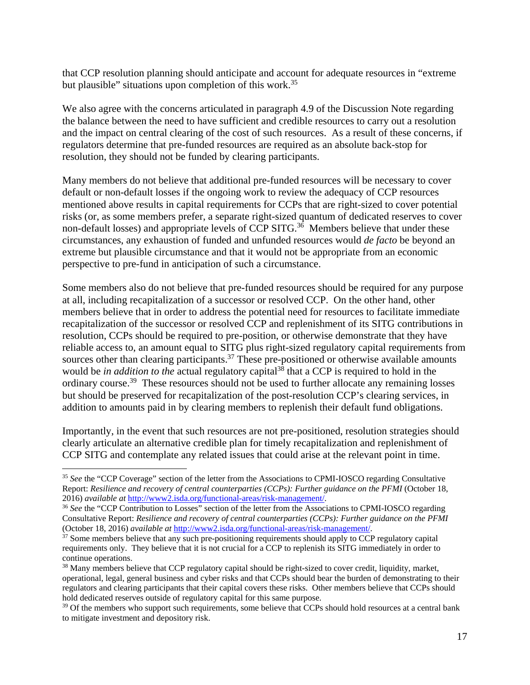that CCP resolution planning should anticipate and account for adequate resources in "extreme but plausible" situations upon completion of this work.<sup>35</sup>

We also agree with the concerns articulated in paragraph 4.9 of the Discussion Note regarding the balance between the need to have sufficient and credible resources to carry out a resolution and the impact on central clearing of the cost of such resources. As a result of these concerns, if regulators determine that pre-funded resources are required as an absolute back-stop for resolution, they should not be funded by clearing participants.

Many members do not believe that additional pre-funded resources will be necessary to cover default or non-default losses if the ongoing work to review the adequacy of CCP resources mentioned above results in capital requirements for CCPs that are right-sized to cover potential risks (or, as some members prefer, a separate right-sized quantum of dedicated reserves to cover non-default losses) and appropriate levels of CCP SITG.<sup>36</sup> Members believe that under these circumstances, any exhaustion of funded and unfunded resources would *de facto* be beyond an extreme but plausible circumstance and that it would not be appropriate from an economic perspective to pre-fund in anticipation of such a circumstance.

Some members also do not believe that pre-funded resources should be required for any purpose at all, including recapitalization of a successor or resolved CCP. On the other hand, other members believe that in order to address the potential need for resources to facilitate immediate recapitalization of the successor or resolved CCP and replenishment of its SITG contributions in resolution, CCPs should be required to pre-position, or otherwise demonstrate that they have reliable access to, an amount equal to SITG plus right-sized regulatory capital requirements from sources other than clearing participants.<sup>37</sup> These pre-positioned or otherwise available amounts would be *in addition to the* actual regulatory capital<sup>38</sup> that a CCP is required to hold in the ordinary course.<sup>39</sup> These resources should not be used to further allocate any remaining losses but should be preserved for recapitalization of the post-resolution CCP's clearing services, in addition to amounts paid in by clearing members to replenish their default fund obligations.

Importantly, in the event that such resources are not pre-positioned, resolution strategies should clearly articulate an alternative credible plan for timely recapitalization and replenishment of CCP SITG and contemplate any related issues that could arise at the relevant point in time.

<sup>&</sup>lt;sup>35</sup> See the "CCP Coverage" section of the letter from the Associations to CPMI-IOSCO regarding Consultative Report: *Resilience and recovery of central counterparties (CCPs): Further guidance on the PFMI* (October 18, 2016) *available at* http://www2.isda.org/functional-areas/risk-management/. 36 *See* the "CCP Contribution to Losses" section of the letter from the Associations to CPMI-IOSCO regarding

Consultative Report: *Resilience and recovery of central counterparties (CCPs): Further guidance on the PFMI* (October 18, 2016) *available at* http://www2.isda.org/functional-areas/risk-management/.

<sup>&</sup>lt;sup>37</sup> Some members believe that any such pre-positioning requirements should apply to CCP regulatory capital requirements only. They believe that it is not crucial for a CCP to replenish its SITG immediately in order to continue operations.

<sup>&</sup>lt;sup>38</sup> Many members believe that CCP regulatory capital should be right-sized to cover credit, liquidity, market, operational, legal, general business and cyber risks and that CCPs should bear the burden of demonstrating to their regulators and clearing participants that their capital covers these risks. Other members believe that CCPs should hold dedicated reserves outside of regulatory capital for this same purpose.

<sup>&</sup>lt;sup>39</sup> Of the members who support such requirements, some believe that CCPs should hold resources at a central bank to mitigate investment and depository risk.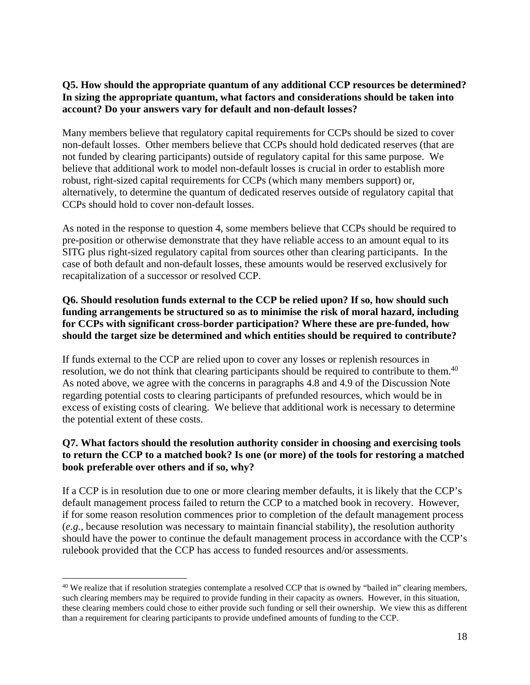#### **Q5. How should the appropriate quantum of any additional CCP resources be determined? In sizing the appropriate quantum, what factors and considerations should be taken into account? Do your answers vary for default and non-default losses?**

Many members believe that regulatory capital requirements for CCPs should be sized to cover non-default losses. Other members believe that CCPs should hold dedicated reserves (that are not funded by clearing participants) outside of regulatory capital for this same purpose. We believe that additional work to model non-default losses is crucial in order to establish more robust, right-sized capital requirements for CCPs (which many members support) or, alternatively, to determine the quantum of dedicated reserves outside of regulatory capital that CCPs should hold to cover non-default losses.

As noted in the response to question 4, some members believe that CCPs should be required to pre-position or otherwise demonstrate that they have reliable access to an amount equal to its SITG plus right-sized regulatory capital from sources other than clearing participants. In the case of both default and non-default losses, these amounts would be reserved exclusively for recapitalization of a successor or resolved CCP.

#### **Q6. Should resolution funds external to the CCP be relied upon? If so, how should such funding arrangements be structured so as to minimise the risk of moral hazard, including for CCPs with significant cross-border participation? Where these are pre-funded, how should the target size be determined and which entities should be required to contribute?**

If funds external to the CCP are relied upon to cover any losses or replenish resources in resolution, we do not think that clearing participants should be required to contribute to them.<sup>40</sup> As noted above, we agree with the concerns in paragraphs 4.8 and 4.9 of the Discussion Note regarding potential costs to clearing participants of prefunded resources, which would be in excess of existing costs of clearing. We believe that additional work is necessary to determine the potential extent of these costs.

#### **Q7. What factors should the resolution authority consider in choosing and exercising tools to return the CCP to a matched book? Is one (or more) of the tools for restoring a matched book preferable over others and if so, why?**

If a CCP is in resolution due to one or more clearing member defaults, it is likely that the CCP's default management process failed to return the CCP to a matched book in recovery. However, if for some reason resolution commences prior to completion of the default management process (*e.g.,* because resolution was necessary to maintain financial stability), the resolution authority should have the power to continue the default management process in accordance with the CCP's rulebook provided that the CCP has access to funded resources and/or assessments.

  $40$  We realize that if resolution strategies contemplate a resolved CCP that is owned by "bailed in" clearing members, such clearing members may be required to provide funding in their capacity as owners. However, in this situation, these clearing members could chose to either provide such funding or sell their ownership. We view this as different than a requirement for clearing participants to provide undefined amounts of funding to the CCP.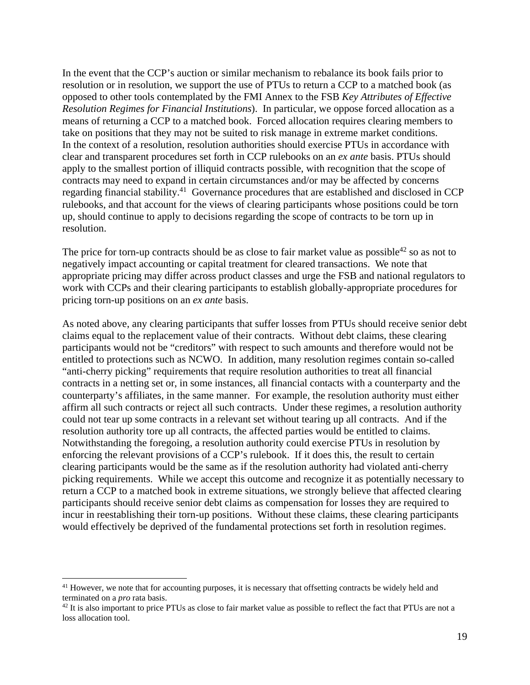In the event that the CCP's auction or similar mechanism to rebalance its book fails prior to resolution or in resolution, we support the use of PTUs to return a CCP to a matched book (as opposed to other tools contemplated by the FMI Annex to the FSB *Key Attributes of Effective Resolution Regimes for Financial Institutions*). In particular, we oppose forced allocation as a means of returning a CCP to a matched book. Forced allocation requires clearing members to take on positions that they may not be suited to risk manage in extreme market conditions. In the context of a resolution, resolution authorities should exercise PTUs in accordance with clear and transparent procedures set forth in CCP rulebooks on an *ex ante* basis. PTUs should apply to the smallest portion of illiquid contracts possible, with recognition that the scope of contracts may need to expand in certain circumstances and/or may be affected by concerns regarding financial stability.41 Governance procedures that are established and disclosed in CCP rulebooks, and that account for the views of clearing participants whose positions could be torn up, should continue to apply to decisions regarding the scope of contracts to be torn up in resolution.

The price for torn-up contracts should be as close to fair market value as possible<sup>42</sup> so as not to negatively impact accounting or capital treatment for cleared transactions. We note that appropriate pricing may differ across product classes and urge the FSB and national regulators to work with CCPs and their clearing participants to establish globally-appropriate procedures for pricing torn-up positions on an *ex ante* basis.

As noted above, any clearing participants that suffer losses from PTUs should receive senior debt claims equal to the replacement value of their contracts. Without debt claims, these clearing participants would not be "creditors" with respect to such amounts and therefore would not be entitled to protections such as NCWO. In addition, many resolution regimes contain so-called "anti-cherry picking" requirements that require resolution authorities to treat all financial contracts in a netting set or, in some instances, all financial contacts with a counterparty and the counterparty's affiliates, in the same manner. For example, the resolution authority must either affirm all such contracts or reject all such contracts. Under these regimes, a resolution authority could not tear up some contracts in a relevant set without tearing up all contracts. And if the resolution authority tore up all contracts, the affected parties would be entitled to claims. Notwithstanding the foregoing, a resolution authority could exercise PTUs in resolution by enforcing the relevant provisions of a CCP's rulebook. If it does this, the result to certain clearing participants would be the same as if the resolution authority had violated anti-cherry picking requirements. While we accept this outcome and recognize it as potentially necessary to return a CCP to a matched book in extreme situations, we strongly believe that affected clearing participants should receive senior debt claims as compensation for losses they are required to incur in reestablishing their torn-up positions. Without these claims, these clearing participants would effectively be deprived of the fundamental protections set forth in resolution regimes.

<sup>&</sup>lt;sup>41</sup> However, we note that for accounting purposes, it is necessary that offsetting contracts be widely held and terminated on a *pro* rata basis.

<sup>&</sup>lt;sup>42</sup> It is also important to price PTUs as close to fair market value as possible to reflect the fact that PTUs are not a loss allocation tool.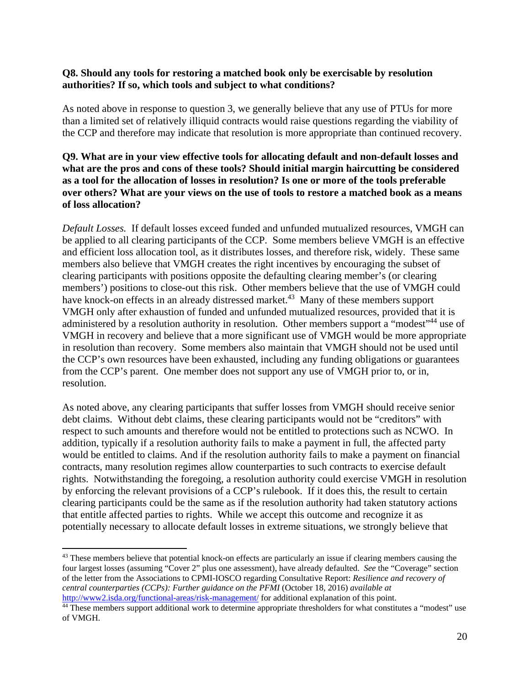#### **Q8. Should any tools for restoring a matched book only be exercisable by resolution authorities? If so, which tools and subject to what conditions?**

As noted above in response to question 3, we generally believe that any use of PTUs for more than a limited set of relatively illiquid contracts would raise questions regarding the viability of the CCP and therefore may indicate that resolution is more appropriate than continued recovery.

#### **Q9. What are in your view effective tools for allocating default and non-default losses and what are the pros and cons of these tools? Should initial margin haircutting be considered as a tool for the allocation of losses in resolution? Is one or more of the tools preferable over others? What are your views on the use of tools to restore a matched book as a means of loss allocation?**

*Default Losses.* If default losses exceed funded and unfunded mutualized resources, VMGH can be applied to all clearing participants of the CCP. Some members believe VMGH is an effective and efficient loss allocation tool, as it distributes losses, and therefore risk, widely. These same members also believe that VMGH creates the right incentives by encouraging the subset of clearing participants with positions opposite the defaulting clearing member's (or clearing members') positions to close-out this risk. Other members believe that the use of VMGH could have knock-on effects in an already distressed market.<sup>43</sup> Many of these members support VMGH only after exhaustion of funded and unfunded mutualized resources, provided that it is administered by a resolution authority in resolution. Other members support a "modest"<sup>44</sup> use of VMGH in recovery and believe that a more significant use of VMGH would be more appropriate in resolution than recovery. Some members also maintain that VMGH should not be used until the CCP's own resources have been exhausted, including any funding obligations or guarantees from the CCP's parent. One member does not support any use of VMGH prior to, or in, resolution.

As noted above, any clearing participants that suffer losses from VMGH should receive senior debt claims. Without debt claims, these clearing participants would not be "creditors" with respect to such amounts and therefore would not be entitled to protections such as NCWO. In addition, typically if a resolution authority fails to make a payment in full, the affected party would be entitled to claims. And if the resolution authority fails to make a payment on financial contracts, many resolution regimes allow counterparties to such contracts to exercise default rights. Notwithstanding the foregoing, a resolution authority could exercise VMGH in resolution by enforcing the relevant provisions of a CCP's rulebook. If it does this, the result to certain clearing participants could be the same as if the resolution authority had taken statutory actions that entitle affected parties to rights. While we accept this outcome and recognize it as potentially necessary to allocate default losses in extreme situations, we strongly believe that

<sup>&</sup>lt;sup>43</sup> These members believe that potential knock-on effects are particularly an issue if clearing members causing the four largest losses (assuming "Cover 2" plus one assessment), have already defaulted. *See* the "Coverage" section of the letter from the Associations to CPMI-IOSCO regarding Consultative Report: *Resilience and recovery of central counterparties (CCPs): Further guidance on the PFMI* (October 18, 2016) *available at*

<sup>&</sup>lt;sup>44</sup> These members support additional work to determine appropriate thresholders for what constitutes a "modest" use of VMGH.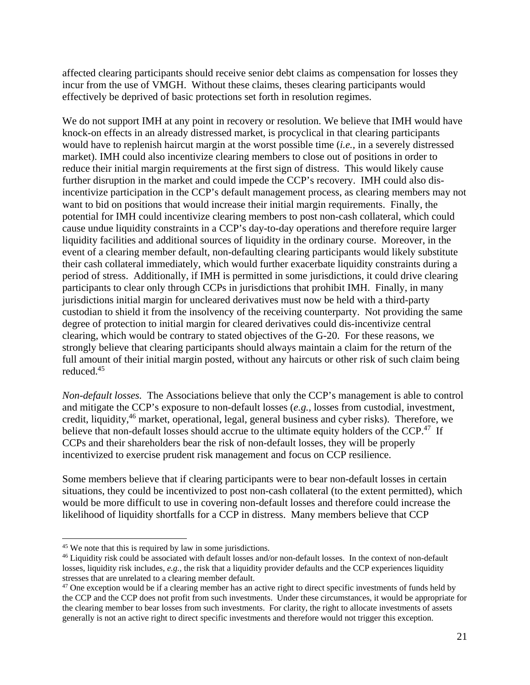affected clearing participants should receive senior debt claims as compensation for losses they incur from the use of VMGH. Without these claims, theses clearing participants would effectively be deprived of basic protections set forth in resolution regimes.

We do not support IMH at any point in recovery or resolution. We believe that IMH would have knock-on effects in an already distressed market, is procyclical in that clearing participants would have to replenish haircut margin at the worst possible time (*i.e.,* in a severely distressed market). IMH could also incentivize clearing members to close out of positions in order to reduce their initial margin requirements at the first sign of distress. This would likely cause further disruption in the market and could impede the CCP's recovery. IMH could also disincentivize participation in the CCP's default management process, as clearing members may not want to bid on positions that would increase their initial margin requirements. Finally, the potential for IMH could incentivize clearing members to post non-cash collateral, which could cause undue liquidity constraints in a CCP's day-to-day operations and therefore require larger liquidity facilities and additional sources of liquidity in the ordinary course. Moreover, in the event of a clearing member default, non-defaulting clearing participants would likely substitute their cash collateral immediately, which would further exacerbate liquidity constraints during a period of stress. Additionally, if IMH is permitted in some jurisdictions, it could drive clearing participants to clear only through CCPs in jurisdictions that prohibit IMH. Finally, in many jurisdictions initial margin for uncleared derivatives must now be held with a third-party custodian to shield it from the insolvency of the receiving counterparty. Not providing the same degree of protection to initial margin for cleared derivatives could dis-incentivize central clearing, which would be contrary to stated objectives of the G-20. For these reasons, we strongly believe that clearing participants should always maintain a claim for the return of the full amount of their initial margin posted, without any haircuts or other risk of such claim being reduced.45

*Non-default losses.* The Associations believe that only the CCP's management is able to control and mitigate the CCP's exposure to non-default losses (*e.g.,* losses from custodial, investment, credit, liquidity,46 market, operational, legal, general business and cyber risks). Therefore, we believe that non-default losses should accrue to the ultimate equity holders of the CCP.<sup>47</sup> If CCPs and their shareholders bear the risk of non-default losses, they will be properly incentivized to exercise prudent risk management and focus on CCP resilience.

Some members believe that if clearing participants were to bear non-default losses in certain situations, they could be incentivized to post non-cash collateral (to the extent permitted), which would be more difficult to use in covering non-default losses and therefore could increase the likelihood of liquidity shortfalls for a CCP in distress. Many members believe that CCP

<sup>45</sup> We note that this is required by law in some jurisdictions.

<sup>&</sup>lt;sup>46</sup> Liquidity risk could be associated with default losses and/or non-default losses. In the context of non-default losses, liquidity risk includes, *e.g.,* the risk that a liquidity provider defaults and the CCP experiences liquidity stresses that are unrelated to a clearing member default.<br><sup>47</sup> One exception would be if a clearing member has an active right to direct specific investments of funds held by

the CCP and the CCP does not profit from such investments. Under these circumstances, it would be appropriate for the clearing member to bear losses from such investments. For clarity, the right to allocate investments of assets generally is not an active right to direct specific investments and therefore would not trigger this exception.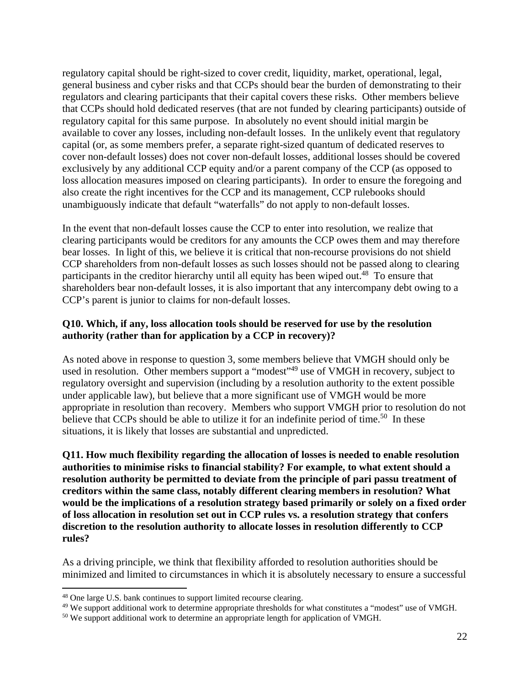regulatory capital should be right-sized to cover credit, liquidity, market, operational, legal, general business and cyber risks and that CCPs should bear the burden of demonstrating to their regulators and clearing participants that their capital covers these risks. Other members believe that CCPs should hold dedicated reserves (that are not funded by clearing participants) outside of regulatory capital for this same purpose. In absolutely no event should initial margin be available to cover any losses, including non-default losses. In the unlikely event that regulatory capital (or, as some members prefer, a separate right-sized quantum of dedicated reserves to cover non-default losses) does not cover non-default losses, additional losses should be covered exclusively by any additional CCP equity and/or a parent company of the CCP (as opposed to loss allocation measures imposed on clearing participants). In order to ensure the foregoing and also create the right incentives for the CCP and its management, CCP rulebooks should unambiguously indicate that default "waterfalls" do not apply to non-default losses.

In the event that non-default losses cause the CCP to enter into resolution, we realize that clearing participants would be creditors for any amounts the CCP owes them and may therefore bear losses. In light of this, we believe it is critical that non-recourse provisions do not shield CCP shareholders from non-default losses as such losses should not be passed along to clearing participants in the creditor hierarchy until all equity has been wiped out.<sup>48</sup> To ensure that shareholders bear non-default losses, it is also important that any intercompany debt owing to a CCP's parent is junior to claims for non-default losses.

#### **Q10. Which, if any, loss allocation tools should be reserved for use by the resolution authority (rather than for application by a CCP in recovery)?**

As noted above in response to question 3, some members believe that VMGH should only be used in resolution. Other members support a "modest"<sup>49</sup> use of VMGH in recovery, subject to regulatory oversight and supervision (including by a resolution authority to the extent possible under applicable law), but believe that a more significant use of VMGH would be more appropriate in resolution than recovery. Members who support VMGH prior to resolution do not believe that CCPs should be able to utilize it for an indefinite period of time.<sup>50</sup> In these situations, it is likely that losses are substantial and unpredicted.

**Q11. How much flexibility regarding the allocation of losses is needed to enable resolution authorities to minimise risks to financial stability? For example, to what extent should a resolution authority be permitted to deviate from the principle of pari passu treatment of creditors within the same class, notably different clearing members in resolution? What would be the implications of a resolution strategy based primarily or solely on a fixed order of loss allocation in resolution set out in CCP rules vs. a resolution strategy that confers discretion to the resolution authority to allocate losses in resolution differently to CCP rules?** 

As a driving principle, we think that flexibility afforded to resolution authorities should be minimized and limited to circumstances in which it is absolutely necessary to ensure a successful

<sup>48</sup> One large U.S. bank continues to support limited recourse clearing.

<sup>&</sup>lt;sup>49</sup> We support additional work to determine appropriate thresholds for what constitutes a "modest" use of VMGH.

<sup>&</sup>lt;sup>50</sup> We support additional work to determine an appropriate length for application of VMGH.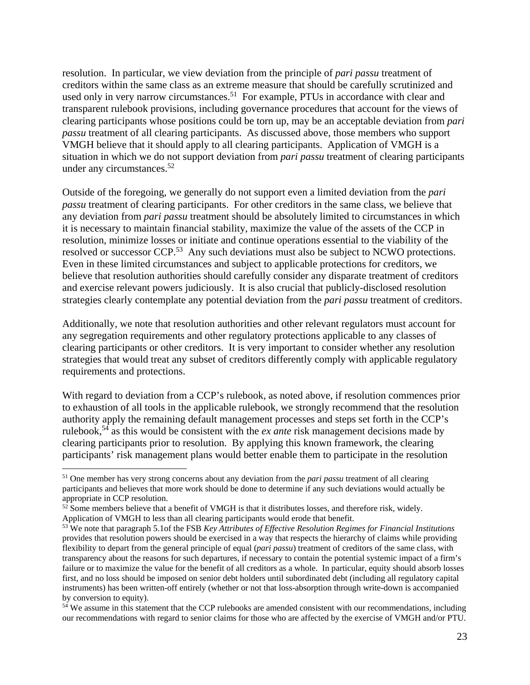resolution. In particular, we view deviation from the principle of *pari passu* treatment of creditors within the same class as an extreme measure that should be carefully scrutinized and used only in very narrow circumstances.<sup>51</sup> For example, PTUs in accordance with clear and transparent rulebook provisions, including governance procedures that account for the views of clearing participants whose positions could be torn up, may be an acceptable deviation from *pari passu* treatment of all clearing participants. As discussed above, those members who support VMGH believe that it should apply to all clearing participants. Application of VMGH is a situation in which we do not support deviation from *pari passu* treatment of clearing participants under any circumstances.<sup>52</sup>

Outside of the foregoing, we generally do not support even a limited deviation from the *pari passu* treatment of clearing participants. For other creditors in the same class, we believe that any deviation from *pari passu* treatment should be absolutely limited to circumstances in which it is necessary to maintain financial stability, maximize the value of the assets of the CCP in resolution, minimize losses or initiate and continue operations essential to the viability of the resolved or successor CCP.<sup>53</sup> Any such deviations must also be subject to NCWO protections. Even in these limited circumstances and subject to applicable protections for creditors, we believe that resolution authorities should carefully consider any disparate treatment of creditors and exercise relevant powers judiciously. It is also crucial that publicly-disclosed resolution strategies clearly contemplate any potential deviation from the *pari passu* treatment of creditors.

Additionally, we note that resolution authorities and other relevant regulators must account for any segregation requirements and other regulatory protections applicable to any classes of clearing participants or other creditors. It is very important to consider whether any resolution strategies that would treat any subset of creditors differently comply with applicable regulatory requirements and protections.

With regard to deviation from a CCP's rulebook, as noted above, if resolution commences prior to exhaustion of all tools in the applicable rulebook, we strongly recommend that the resolution authority apply the remaining default management processes and steps set forth in the CCP's rulebook,54 as this would be consistent with the *ex ante* risk management decisions made by clearing participants prior to resolution. By applying this known framework, the clearing participants' risk management plans would better enable them to participate in the resolution

<sup>51</sup> One member has very strong concerns about any deviation from the *pari passu* treatment of all clearing participants and believes that more work should be done to determine if any such deviations would actually be appropriate in CCP resolution.

 $52$  Some members believe that a benefit of VMGH is that it distributes losses, and therefore risk, widely.<br>Application of VMGH to less than all clearing participants would erode that benefit.

<sup>&</sup>lt;sup>53</sup> We note that paragraph 5.1of the FSB *Key Attributes of Effective Resolution Regimes for Financial Institutions* provides that resolution powers should be exercised in a way that respects the hierarchy of claims while providing flexibility to depart from the general principle of equal (*pari passu*) treatment of creditors of the same class, with transparency about the reasons for such departures, if necessary to contain the potential systemic impact of a firm's failure or to maximize the value for the benefit of all creditors as a whole. In particular, equity should absorb losses first, and no loss should be imposed on senior debt holders until subordinated debt (including all regulatory capital instruments) has been written-off entirely (whether or not that loss-absorption through write-down is accompanied by conversion to equity).

<sup>&</sup>lt;sup>54</sup> We assume in this statement that the CCP rulebooks are amended consistent with our recommendations, including our recommendations with regard to senior claims for those who are affected by the exercise of VMGH and/or PTU.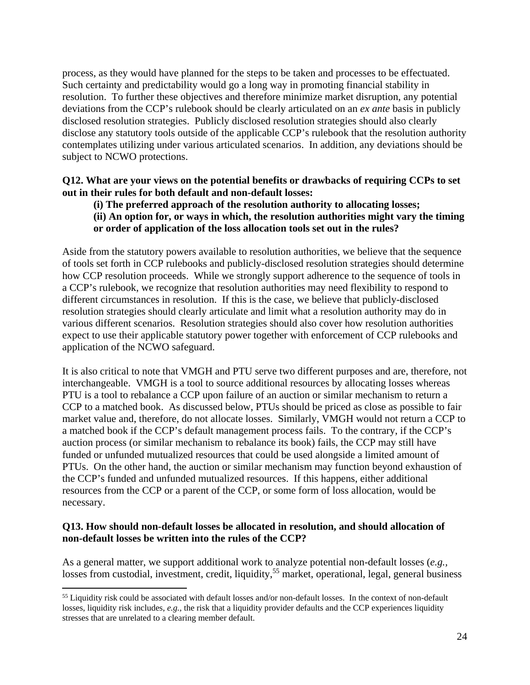process, as they would have planned for the steps to be taken and processes to be effectuated. Such certainty and predictability would go a long way in promoting financial stability in resolution. To further these objectives and therefore minimize market disruption, any potential deviations from the CCP's rulebook should be clearly articulated on an *ex ante* basis in publicly disclosed resolution strategies. Publicly disclosed resolution strategies should also clearly disclose any statutory tools outside of the applicable CCP's rulebook that the resolution authority contemplates utilizing under various articulated scenarios. In addition, any deviations should be subject to NCWO protections.

#### **Q12. What are your views on the potential benefits or drawbacks of requiring CCPs to set out in their rules for both default and non-default losses:**

#### **(i) The preferred approach of the resolution authority to allocating losses;**

**(ii) An option for, or ways in which, the resolution authorities might vary the timing or order of application of the loss allocation tools set out in the rules?** 

Aside from the statutory powers available to resolution authorities, we believe that the sequence of tools set forth in CCP rulebooks and publicly-disclosed resolution strategies should determine how CCP resolution proceeds. While we strongly support adherence to the sequence of tools in a CCP's rulebook, we recognize that resolution authorities may need flexibility to respond to different circumstances in resolution. If this is the case, we believe that publicly-disclosed resolution strategies should clearly articulate and limit what a resolution authority may do in various different scenarios. Resolution strategies should also cover how resolution authorities expect to use their applicable statutory power together with enforcement of CCP rulebooks and application of the NCWO safeguard.

It is also critical to note that VMGH and PTU serve two different purposes and are, therefore, not interchangeable. VMGH is a tool to source additional resources by allocating losses whereas PTU is a tool to rebalance a CCP upon failure of an auction or similar mechanism to return a CCP to a matched book. As discussed below, PTUs should be priced as close as possible to fair market value and, therefore, do not allocate losses. Similarly, VMGH would not return a CCP to a matched book if the CCP's default management process fails. To the contrary, if the CCP's auction process (or similar mechanism to rebalance its book) fails, the CCP may still have funded or unfunded mutualized resources that could be used alongside a limited amount of PTUs. On the other hand, the auction or similar mechanism may function beyond exhaustion of the CCP's funded and unfunded mutualized resources. If this happens, either additional resources from the CCP or a parent of the CCP, or some form of loss allocation, would be necessary.

#### **Q13. How should non-default losses be allocated in resolution, and should allocation of non-default losses be written into the rules of the CCP?**

As a general matter, we support additional work to analyze potential non-default losses (*e.g.,*  losses from custodial, investment, credit, liquidity,<sup>55</sup> market, operational, legal, general business

<sup>&</sup>lt;sup>55</sup> Liquidity risk could be associated with default losses and/or non-default losses. In the context of non-default losses, liquidity risk includes, *e.g.,* the risk that a liquidity provider defaults and the CCP experiences liquidity stresses that are unrelated to a clearing member default.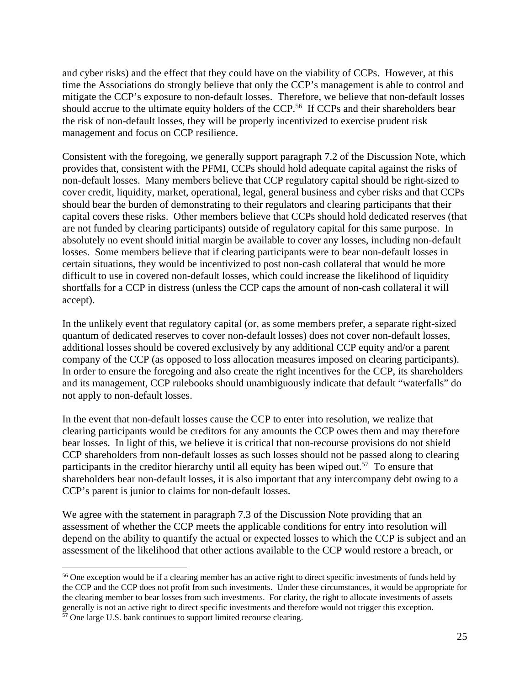and cyber risks) and the effect that they could have on the viability of CCPs. However, at this time the Associations do strongly believe that only the CCP's management is able to control and mitigate the CCP's exposure to non-default losses. Therefore, we believe that non-default losses should accrue to the ultimate equity holders of the CCP.<sup>56</sup> If CCPs and their shareholders bear the risk of non-default losses, they will be properly incentivized to exercise prudent risk management and focus on CCP resilience.

Consistent with the foregoing, we generally support paragraph 7.2 of the Discussion Note, which provides that, consistent with the PFMI, CCPs should hold adequate capital against the risks of non-default losses. Many members believe that CCP regulatory capital should be right-sized to cover credit, liquidity, market, operational, legal, general business and cyber risks and that CCPs should bear the burden of demonstrating to their regulators and clearing participants that their capital covers these risks. Other members believe that CCPs should hold dedicated reserves (that are not funded by clearing participants) outside of regulatory capital for this same purpose. In absolutely no event should initial margin be available to cover any losses, including non-default losses. Some members believe that if clearing participants were to bear non-default losses in certain situations, they would be incentivized to post non-cash collateral that would be more difficult to use in covered non-default losses, which could increase the likelihood of liquidity shortfalls for a CCP in distress (unless the CCP caps the amount of non-cash collateral it will accept).

In the unlikely event that regulatory capital (or, as some members prefer, a separate right-sized quantum of dedicated reserves to cover non-default losses) does not cover non-default losses, additional losses should be covered exclusively by any additional CCP equity and/or a parent company of the CCP (as opposed to loss allocation measures imposed on clearing participants). In order to ensure the foregoing and also create the right incentives for the CCP, its shareholders and its management, CCP rulebooks should unambiguously indicate that default "waterfalls" do not apply to non-default losses.

In the event that non-default losses cause the CCP to enter into resolution, we realize that clearing participants would be creditors for any amounts the CCP owes them and may therefore bear losses. In light of this, we believe it is critical that non-recourse provisions do not shield CCP shareholders from non-default losses as such losses should not be passed along to clearing participants in the creditor hierarchy until all equity has been wiped out.<sup>57</sup> To ensure that shareholders bear non-default losses, it is also important that any intercompany debt owing to a CCP's parent is junior to claims for non-default losses.

We agree with the statement in paragraph 7.3 of the Discussion Note providing that an assessment of whether the CCP meets the applicable conditions for entry into resolution will depend on the ability to quantify the actual or expected losses to which the CCP is subject and an assessment of the likelihood that other actions available to the CCP would restore a breach, or

<sup>56</sup> One exception would be if a clearing member has an active right to direct specific investments of funds held by the CCP and the CCP does not profit from such investments. Under these circumstances, it would be appropriate for the clearing member to bear losses from such investments. For clarity, the right to allocate investments of assets generally is not an active right to direct specific investments and therefore would not trigger this exception. <sup>57</sup> One large U.S. bank continues to support limited recourse clearing.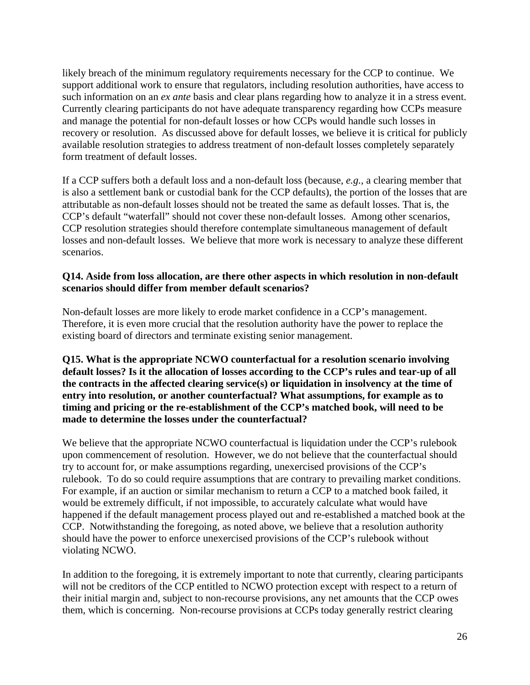likely breach of the minimum regulatory requirements necessary for the CCP to continue. We support additional work to ensure that regulators, including resolution authorities, have access to such information on an *ex ante* basis and clear plans regarding how to analyze it in a stress event. Currently clearing participants do not have adequate transparency regarding how CCPs measure and manage the potential for non-default losses or how CCPs would handle such losses in recovery or resolution. As discussed above for default losses, we believe it is critical for publicly available resolution strategies to address treatment of non-default losses completely separately form treatment of default losses.

If a CCP suffers both a default loss and a non-default loss (because, *e.g.,* a clearing member that is also a settlement bank or custodial bank for the CCP defaults), the portion of the losses that are attributable as non-default losses should not be treated the same as default losses. That is, the CCP's default "waterfall" should not cover these non-default losses. Among other scenarios, CCP resolution strategies should therefore contemplate simultaneous management of default losses and non-default losses. We believe that more work is necessary to analyze these different scenarios.

#### **Q14. Aside from loss allocation, are there other aspects in which resolution in non-default scenarios should differ from member default scenarios?**

Non-default losses are more likely to erode market confidence in a CCP's management. Therefore, it is even more crucial that the resolution authority have the power to replace the existing board of directors and terminate existing senior management.

**Q15. What is the appropriate NCWO counterfactual for a resolution scenario involving default losses? Is it the allocation of losses according to the CCP's rules and tear-up of all the contracts in the affected clearing service(s) or liquidation in insolvency at the time of entry into resolution, or another counterfactual? What assumptions, for example as to timing and pricing or the re-establishment of the CCP's matched book, will need to be made to determine the losses under the counterfactual?** 

We believe that the appropriate NCWO counterfactual is liquidation under the CCP's rulebook upon commencement of resolution. However, we do not believe that the counterfactual should try to account for, or make assumptions regarding, unexercised provisions of the CCP's rulebook. To do so could require assumptions that are contrary to prevailing market conditions. For example, if an auction or similar mechanism to return a CCP to a matched book failed, it would be extremely difficult, if not impossible, to accurately calculate what would have happened if the default management process played out and re-established a matched book at the CCP. Notwithstanding the foregoing, as noted above, we believe that a resolution authority should have the power to enforce unexercised provisions of the CCP's rulebook without violating NCWO.

In addition to the foregoing, it is extremely important to note that currently, clearing participants will not be creditors of the CCP entitled to NCWO protection except with respect to a return of their initial margin and, subject to non-recourse provisions, any net amounts that the CCP owes them, which is concerning. Non-recourse provisions at CCPs today generally restrict clearing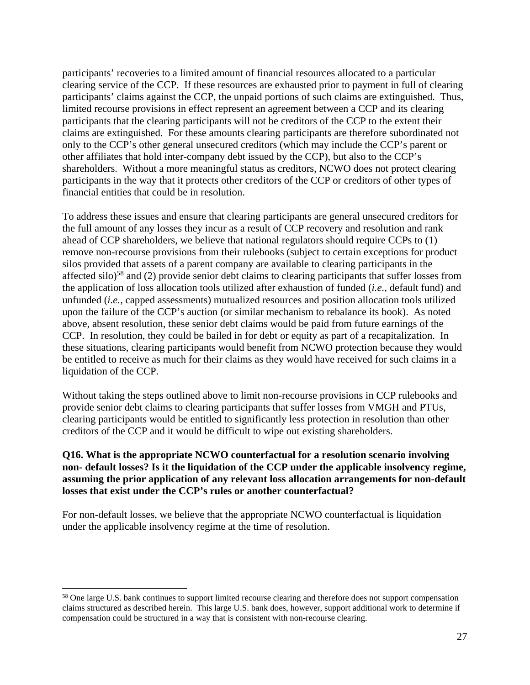participants' recoveries to a limited amount of financial resources allocated to a particular clearing service of the CCP. If these resources are exhausted prior to payment in full of clearing participants' claims against the CCP, the unpaid portions of such claims are extinguished. Thus, limited recourse provisions in effect represent an agreement between a CCP and its clearing participants that the clearing participants will not be creditors of the CCP to the extent their claims are extinguished. For these amounts clearing participants are therefore subordinated not only to the CCP's other general unsecured creditors (which may include the CCP's parent or other affiliates that hold inter-company debt issued by the CCP), but also to the CCP's shareholders. Without a more meaningful status as creditors, NCWO does not protect clearing participants in the way that it protects other creditors of the CCP or creditors of other types of financial entities that could be in resolution.

To address these issues and ensure that clearing participants are general unsecured creditors for the full amount of any losses they incur as a result of CCP recovery and resolution and rank ahead of CCP shareholders, we believe that national regulators should require CCPs to (1) remove non-recourse provisions from their rulebooks (subject to certain exceptions for product silos provided that assets of a parent company are available to clearing participants in the affected silo)58 and (2) provide senior debt claims to clearing participants that suffer losses from the application of loss allocation tools utilized after exhaustion of funded (*i.e.,* default fund) and unfunded (*i.e.,* capped assessments) mutualized resources and position allocation tools utilized upon the failure of the CCP's auction (or similar mechanism to rebalance its book). As noted above, absent resolution, these senior debt claims would be paid from future earnings of the CCP. In resolution, they could be bailed in for debt or equity as part of a recapitalization. In these situations, clearing participants would benefit from NCWO protection because they would be entitled to receive as much for their claims as they would have received for such claims in a liquidation of the CCP.

Without taking the steps outlined above to limit non-recourse provisions in CCP rulebooks and provide senior debt claims to clearing participants that suffer losses from VMGH and PTUs, clearing participants would be entitled to significantly less protection in resolution than other creditors of the CCP and it would be difficult to wipe out existing shareholders.

#### **Q16. What is the appropriate NCWO counterfactual for a resolution scenario involving non- default losses? Is it the liquidation of the CCP under the applicable insolvency regime, assuming the prior application of any relevant loss allocation arrangements for non-default losses that exist under the CCP's rules or another counterfactual?**

For non-default losses, we believe that the appropriate NCWO counterfactual is liquidation under the applicable insolvency regime at the time of resolution.

<sup>&</sup>lt;sup>58</sup> One large U.S. bank continues to support limited recourse clearing and therefore does not support compensation claims structured as described herein. This large U.S. bank does, however, support additional work to determine if compensation could be structured in a way that is consistent with non-recourse clearing.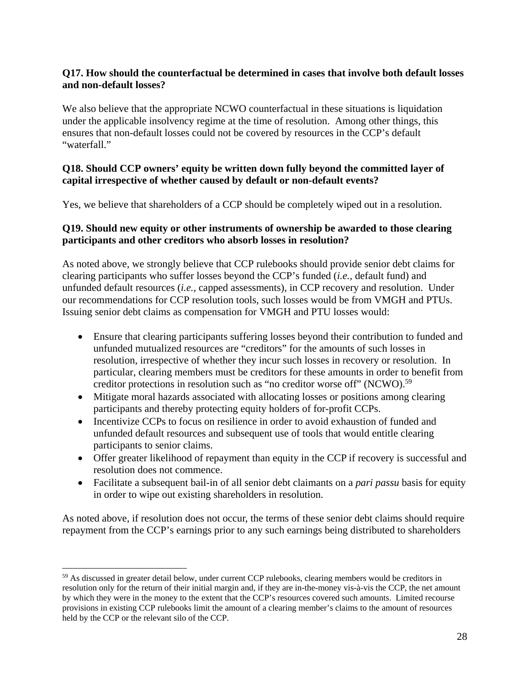#### **Q17. How should the counterfactual be determined in cases that involve both default losses and non-default losses?**

We also believe that the appropriate NCWO counterfactual in these situations is liquidation under the applicable insolvency regime at the time of resolution. Among other things, this ensures that non-default losses could not be covered by resources in the CCP's default "waterfall."

#### **Q18. Should CCP owners' equity be written down fully beyond the committed layer of capital irrespective of whether caused by default or non-default events?**

Yes, we believe that shareholders of a CCP should be completely wiped out in a resolution.

#### **Q19. Should new equity or other instruments of ownership be awarded to those clearing participants and other creditors who absorb losses in resolution?**

As noted above, we strongly believe that CCP rulebooks should provide senior debt claims for clearing participants who suffer losses beyond the CCP's funded (*i.e.,* default fund) and unfunded default resources (*i.e.,* capped assessments), in CCP recovery and resolution. Under our recommendations for CCP resolution tools, such losses would be from VMGH and PTUs. Issuing senior debt claims as compensation for VMGH and PTU losses would:

- Ensure that clearing participants suffering losses beyond their contribution to funded and unfunded mutualized resources are "creditors" for the amounts of such losses in resolution, irrespective of whether they incur such losses in recovery or resolution. In particular, clearing members must be creditors for these amounts in order to benefit from creditor protections in resolution such as "no creditor worse off" (NCWO).<sup>59</sup>
- Mitigate moral hazards associated with allocating losses or positions among clearing participants and thereby protecting equity holders of for-profit CCPs.
- Incentivize CCPs to focus on resilience in order to avoid exhaustion of funded and unfunded default resources and subsequent use of tools that would entitle clearing participants to senior claims.
- Offer greater likelihood of repayment than equity in the CCP if recovery is successful and resolution does not commence.
- Facilitate a subsequent bail-in of all senior debt claimants on a *pari passu* basis for equity in order to wipe out existing shareholders in resolution.

As noted above, if resolution does not occur, the terms of these senior debt claims should require repayment from the CCP's earnings prior to any such earnings being distributed to shareholders

<sup>&</sup>lt;sup>59</sup> As discussed in greater detail below, under current CCP rulebooks, clearing members would be creditors in resolution only for the return of their initial margin and, if they are in-the-money vis-à-vis the CCP, the net amount by which they were in the money to the extent that the CCP's resources covered such amounts. Limited recourse provisions in existing CCP rulebooks limit the amount of a clearing member's claims to the amount of resources held by the CCP or the relevant silo of the CCP.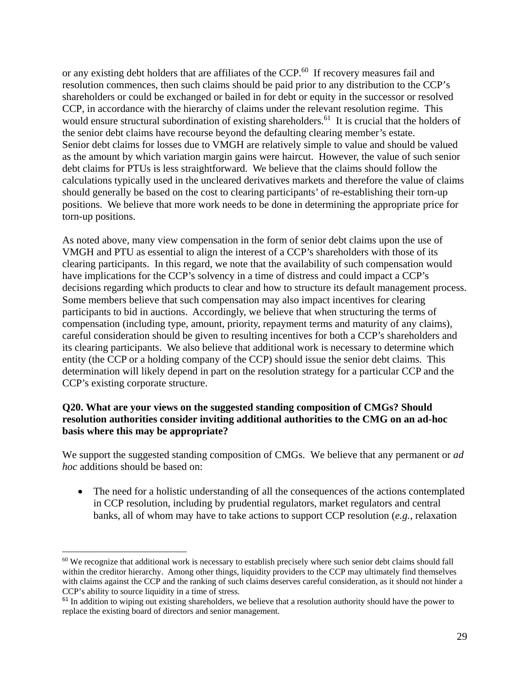or any existing debt holders that are affiliates of the CCP.<sup>60</sup> If recovery measures fail and resolution commences, then such claims should be paid prior to any distribution to the CCP's shareholders or could be exchanged or bailed in for debt or equity in the successor or resolved CCP, in accordance with the hierarchy of claims under the relevant resolution regime. This would ensure structural subordination of existing shareholders.<sup>61</sup> It is crucial that the holders of the senior debt claims have recourse beyond the defaulting clearing member's estate. Senior debt claims for losses due to VMGH are relatively simple to value and should be valued as the amount by which variation margin gains were haircut. However, the value of such senior debt claims for PTUs is less straightforward. We believe that the claims should follow the calculations typically used in the uncleared derivatives markets and therefore the value of claims should generally be based on the cost to clearing participants' of re-establishing their torn-up positions. We believe that more work needs to be done in determining the appropriate price for torn-up positions.

As noted above, many view compensation in the form of senior debt claims upon the use of VMGH and PTU as essential to align the interest of a CCP's shareholders with those of its clearing participants. In this regard, we note that the availability of such compensation would have implications for the CCP's solvency in a time of distress and could impact a CCP's decisions regarding which products to clear and how to structure its default management process. Some members believe that such compensation may also impact incentives for clearing participants to bid in auctions. Accordingly, we believe that when structuring the terms of compensation (including type, amount, priority, repayment terms and maturity of any claims), careful consideration should be given to resulting incentives for both a CCP's shareholders and its clearing participants. We also believe that additional work is necessary to determine which entity (the CCP or a holding company of the CCP) should issue the senior debt claims. This determination will likely depend in part on the resolution strategy for a particular CCP and the CCP's existing corporate structure.

#### **Q20. What are your views on the suggested standing composition of CMGs? Should resolution authorities consider inviting additional authorities to the CMG on an ad-hoc basis where this may be appropriate?**

We support the suggested standing composition of CMGs. We believe that any permanent or *ad hoc* additions should be based on:

• The need for a holistic understanding of all the consequences of the actions contemplated in CCP resolution, including by prudential regulators, market regulators and central banks, all of whom may have to take actions to support CCP resolution (*e.g.,* relaxation

 $60$  We recognize that additional work is necessary to establish precisely where such senior debt claims should fall within the creditor hierarchy. Among other things, liquidity providers to the CCP may ultimately find themselves with claims against the CCP and the ranking of such claims deserves careful consideration, as it should not hinder a CCP's ability to source liquidity in a time of stress.

 $61$  In addition to wiping out existing shareholders, we believe that a resolution authority should have the power to replace the existing board of directors and senior management.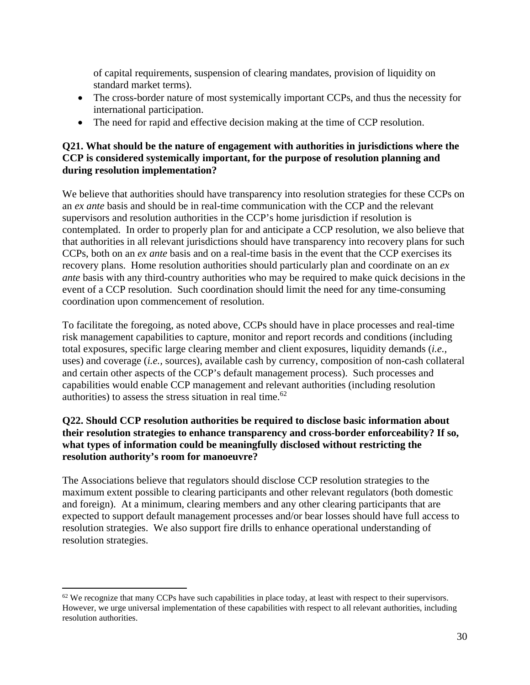of capital requirements, suspension of clearing mandates, provision of liquidity on standard market terms).

- The cross-border nature of most systemically important CCPs, and thus the necessity for international participation.
- The need for rapid and effective decision making at the time of CCP resolution.

#### **Q21. What should be the nature of engagement with authorities in jurisdictions where the CCP is considered systemically important, for the purpose of resolution planning and during resolution implementation?**

We believe that authorities should have transparency into resolution strategies for these CCPs on an *ex ante* basis and should be in real-time communication with the CCP and the relevant supervisors and resolution authorities in the CCP's home jurisdiction if resolution is contemplated. In order to properly plan for and anticipate a CCP resolution, we also believe that that authorities in all relevant jurisdictions should have transparency into recovery plans for such CCPs, both on an *ex ante* basis and on a real-time basis in the event that the CCP exercises its recovery plans. Home resolution authorities should particularly plan and coordinate on an *ex ante* basis with any third-country authorities who may be required to make quick decisions in the event of a CCP resolution. Such coordination should limit the need for any time-consuming coordination upon commencement of resolution.

To facilitate the foregoing, as noted above, CCPs should have in place processes and real-time risk management capabilities to capture, monitor and report records and conditions (including total exposures, specific large clearing member and client exposures, liquidity demands (*i.e.,*  uses) and coverage (*i.e.,* sources), available cash by currency, composition of non-cash collateral and certain other aspects of the CCP's default management process). Such processes and capabilities would enable CCP management and relevant authorities (including resolution authorities) to assess the stress situation in real time.<sup>62</sup>

#### **Q22. Should CCP resolution authorities be required to disclose basic information about their resolution strategies to enhance transparency and cross-border enforceability? If so, what types of information could be meaningfully disclosed without restricting the resolution authority's room for manoeuvre?**

The Associations believe that regulators should disclose CCP resolution strategies to the maximum extent possible to clearing participants and other relevant regulators (both domestic and foreign). At a minimum, clearing members and any other clearing participants that are expected to support default management processes and/or bear losses should have full access to resolution strategies. We also support fire drills to enhance operational understanding of resolution strategies.

 $62$  We recognize that many CCPs have such capabilities in place today, at least with respect to their supervisors. However, we urge universal implementation of these capabilities with respect to all relevant authorities, including resolution authorities.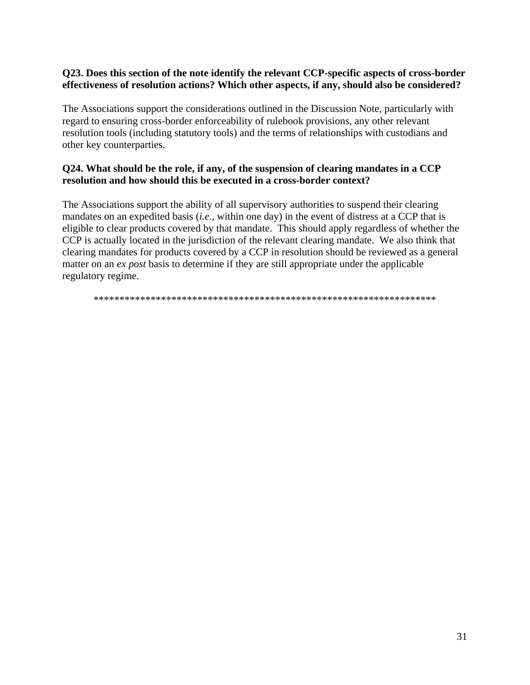#### **Q23. Does this section of the note identify the relevant CCP-specific aspects of cross-border effectiveness of resolution actions? Which other aspects, if any, should also be considered?**

The Associations support the considerations outlined in the Discussion Note, particularly with regard to ensuring cross-border enforceability of rulebook provisions, any other relevant resolution tools (including statutory tools) and the terms of relationships with custodians and other key counterparties.

#### **Q24. What should be the role, if any, of the suspension of clearing mandates in a CCP resolution and how should this be executed in a cross-border context?**

The Associations support the ability of all supervisory authorities to suspend their clearing mandates on an expedited basis (*i.e.,* within one day) in the event of distress at a CCP that is eligible to clear products covered by that mandate. This should apply regardless of whether the CCP is actually located in the jurisdiction of the relevant clearing mandate. We also think that clearing mandates for products covered by a CCP in resolution should be reviewed as a general matter on an *ex post* basis to determine if they are still appropriate under the applicable regulatory regime.

\*\*\*\*\*\*\*\*\*\*\*\*\*\*\*\*\*\*\*\*\*\*\*\*\*\*\*\*\*\*\*\*\*\*\*\*\*\*\*\*\*\*\*\*\*\*\*\*\*\*\*\*\*\*\*\*\*\*\*\*\*\*\*\*\*\*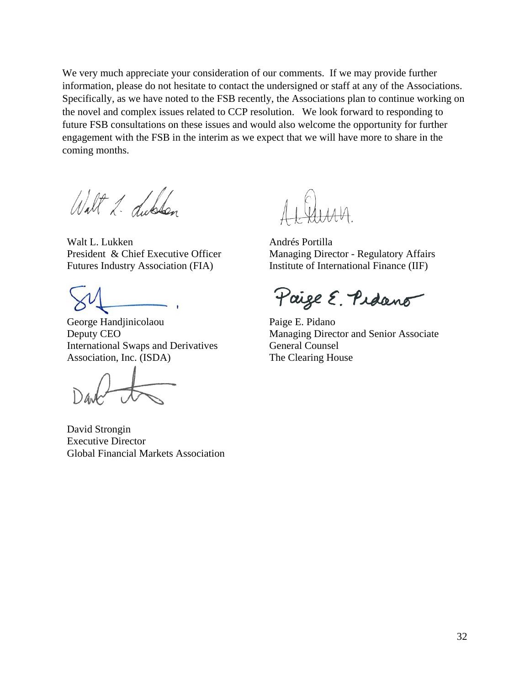We very much appreciate your consideration of our comments. If we may provide further information, please do not hesitate to contact the undersigned or staff at any of the Associations. Specifically, as we have noted to the FSB recently, the Associations plan to continue working on the novel and complex issues related to CCP resolution. We look forward to responding to future FSB consultations on these issues and would also welcome the opportunity for further engagement with the FSB in the interim as we expect that we will have more to share in the coming months.

Walt 1. Libbon

Walt L. Lukken President & Chief Executive Officer Futures Industry Association (FIA)

George Handjinicolaou Deputy CEO International Swaps and Derivatives Association, Inc. (ISDA)

David Strongin Executive Director Global Financial Markets Association

Andrés Portilla Managing Director - Regulatory Affairs Institute of International Finance (IIF)

Paige E. Pidano

Paige E. Pidano Managing Director and Senior Associate General Counsel The Clearing House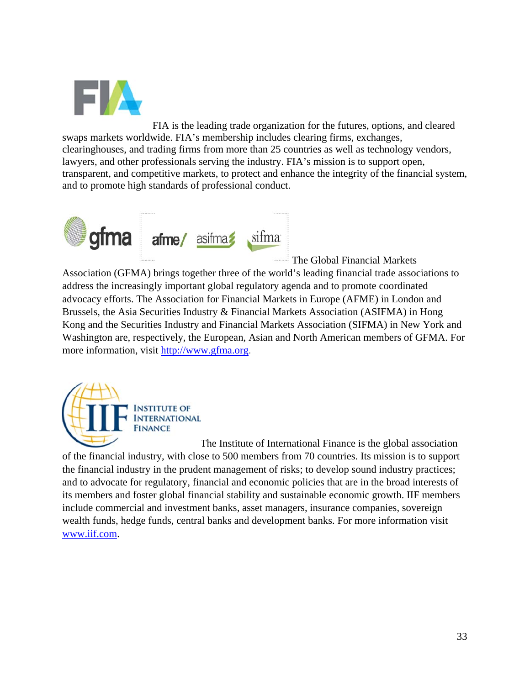

FIA is the leading trade organization for the futures, options, and cleared swaps markets worldwide. FIA's membership includes clearing firms, exchanges, clearinghouses, and trading firms from more than 25 countries as well as technology vendors, lawyers, and other professionals serving the industry. FIA's mission is to support open, transparent, and competitive markets, to protect and enhance the integrity of the financial system, and to promote high standards of professional conduct.



The Global Financial Markets

Association (GFMA) brings together three of the world's leading financial trade associations to address the increasingly important global regulatory agenda and to promote coordinated advocacy efforts. The Association for Financial Markets in Europe (AFME) in London and Brussels, the Asia Securities Industry & Financial Markets Association (ASIFMA) in Hong Kong and the Securities Industry and Financial Markets Association (SIFMA) in New York and Washington are, respectively, the European, Asian and North American members of GFMA. For more information, visit http://www.gfma.org.



The Institute of International Finance is the global association of the financial industry, with close to 500 members from 70 countries. Its mission is to support the financial industry in the prudent management of risks; to develop sound industry practices; and to advocate for regulatory, financial and economic policies that are in the broad interests of its members and foster global financial stability and sustainable economic growth. IIF members include commercial and investment banks, asset managers, insurance companies, sovereign wealth funds, hedge funds, central banks and development banks. For more information visit www.iif.com.